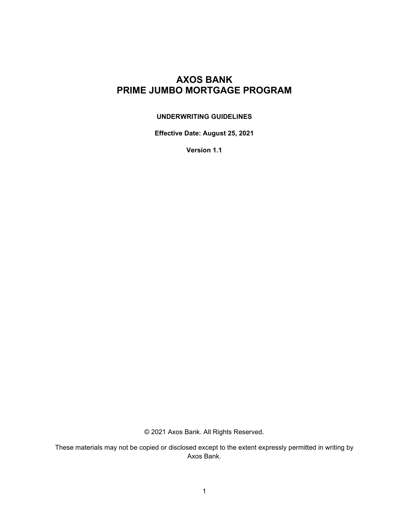# **AXOS BANK PRIME JUMBO MORTGAGE PROGRAM**

## **UNDERWRITING GUIDELINES**

**Effective Date: August 25, 2021**

**Version 1.1**

© 2021 Axos Bank. All Rights Reserved.

These materials may not be copied or disclosed except to the extent expressly permitted in writing by Axos Bank.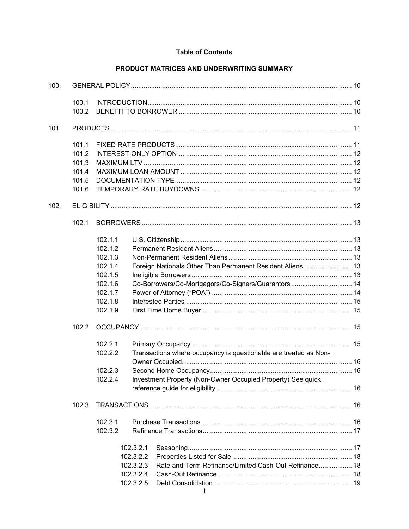### **Table of Contents**

# PRODUCT MATRICES AND UNDERWRITING SUMMARY

| 100. |                                                    |                                                                                                                                             |                                                               |                                                                                                                                                                                                                                                       |  |  |
|------|----------------------------------------------------|---------------------------------------------------------------------------------------------------------------------------------------------|---------------------------------------------------------------|-------------------------------------------------------------------------------------------------------------------------------------------------------------------------------------------------------------------------------------------------------|--|--|
|      | 100.1<br>100.2                                     |                                                                                                                                             |                                                               |                                                                                                                                                                                                                                                       |  |  |
| 101. |                                                    |                                                                                                                                             |                                                               |                                                                                                                                                                                                                                                       |  |  |
|      | 101.1<br>101.2<br>101.3<br>101.4<br>101.5<br>101.6 |                                                                                                                                             |                                                               |                                                                                                                                                                                                                                                       |  |  |
| 102. |                                                    |                                                                                                                                             |                                                               |                                                                                                                                                                                                                                                       |  |  |
|      | 102.1                                              |                                                                                                                                             |                                                               |                                                                                                                                                                                                                                                       |  |  |
|      | 102.2                                              | 102.1.1<br>102.1.2<br>102.1.3<br>102.1.4<br>102.1.5<br>102.1.6<br>102.1.7<br>102.1.8<br>102.1.9<br>102.2.1<br>102.2.2<br>102.2.3<br>102.2.4 |                                                               | Foreign Nationals Other Than Permanent Resident Aliens  13<br>Co-Borrowers/Co-Mortgagors/Co-Signers/Guarantors  14<br>Transactions where occupancy is questionable are treated as Non-<br>Investment Property (Non-Owner Occupied Property) See quick |  |  |
|      | 102.3                                              |                                                                                                                                             |                                                               |                                                                                                                                                                                                                                                       |  |  |
|      |                                                    | 102.3.1<br>102.3.2                                                                                                                          | 102.3.2.1<br>102.3.2.2<br>102.3.2.3<br>102.3.2.4<br>102.3.2.5 | Rate and Term Refinance/Limited Cash-Out Refinance 18                                                                                                                                                                                                 |  |  |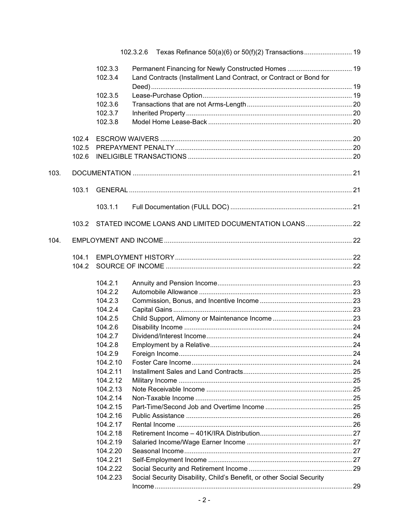|      |       |          | 102.3.2.6 Texas Refinance 50(a)(6) or 50(f)(2) Transactions 19        |  |
|------|-------|----------|-----------------------------------------------------------------------|--|
|      |       | 102.3.3  |                                                                       |  |
|      |       | 102.3.4  | Land Contracts (Installment Land Contract, or Contract or Bond for    |  |
|      |       |          |                                                                       |  |
|      |       | 102.3.5  |                                                                       |  |
|      |       | 102.3.6  |                                                                       |  |
|      |       | 102.3.7  |                                                                       |  |
|      |       | 102.3.8  |                                                                       |  |
|      | 102.4 |          |                                                                       |  |
|      | 102.5 |          |                                                                       |  |
|      | 102.6 |          |                                                                       |  |
| 103. |       |          |                                                                       |  |
|      | 103.1 |          |                                                                       |  |
|      |       |          |                                                                       |  |
|      |       | 103.1.1  |                                                                       |  |
|      | 103.2 |          | STATED INCOME LOANS AND LIMITED DOCUMENTATION LOANS 22                |  |
| 104. |       |          |                                                                       |  |
|      | 104.1 |          |                                                                       |  |
|      | 104.2 |          |                                                                       |  |
|      |       | 104.2.1  |                                                                       |  |
|      |       | 104.2.2  |                                                                       |  |
|      |       | 104.2.3  |                                                                       |  |
|      |       | 104.2.4  |                                                                       |  |
|      |       | 104.2.5  |                                                                       |  |
|      |       | 104.2.6  |                                                                       |  |
|      |       | 104.2.7  |                                                                       |  |
|      |       | 104.2.8  |                                                                       |  |
|      |       | 104.2.9  |                                                                       |  |
|      |       | 104.2.10 |                                                                       |  |
|      |       | 104.2.11 |                                                                       |  |
|      |       | 104.2.12 |                                                                       |  |
|      |       | 104.2.13 |                                                                       |  |
|      |       | 104.2.14 |                                                                       |  |
|      |       | 104.2.15 |                                                                       |  |
|      |       | 104.2.16 |                                                                       |  |
|      |       | 104.2.17 |                                                                       |  |
|      |       | 104.2.18 |                                                                       |  |
|      |       | 104.2.19 |                                                                       |  |
|      |       | 104.2.20 |                                                                       |  |
|      |       | 104.2.21 |                                                                       |  |
|      |       | 104.2.22 |                                                                       |  |
|      |       | 104.2.23 | Social Security Disability, Child's Benefit, or other Social Security |  |
|      |       |          |                                                                       |  |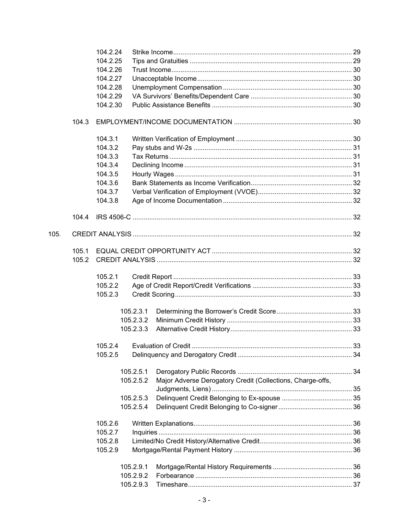|      |       | 104.2.24 |           |                                                            |  |
|------|-------|----------|-----------|------------------------------------------------------------|--|
|      |       | 104.2.25 |           |                                                            |  |
|      |       | 104.2.26 |           |                                                            |  |
|      |       | 104.2.27 |           |                                                            |  |
|      |       | 104.2.28 |           |                                                            |  |
|      |       | 104.2.29 |           |                                                            |  |
|      |       | 104.2.30 |           |                                                            |  |
|      |       |          |           |                                                            |  |
|      | 104.3 |          |           |                                                            |  |
|      |       | 104.3.1  |           |                                                            |  |
|      |       | 104.3.2  |           |                                                            |  |
|      |       | 104.3.3  |           |                                                            |  |
|      |       | 104.3.4  |           |                                                            |  |
|      |       | 104.3.5  |           |                                                            |  |
|      |       | 104.3.6  |           |                                                            |  |
|      |       | 104.3.7  |           |                                                            |  |
|      |       | 104.3.8  |           |                                                            |  |
|      |       |          |           |                                                            |  |
|      | 104.4 |          |           |                                                            |  |
| 105. |       |          |           |                                                            |  |
|      |       |          |           |                                                            |  |
|      | 105.1 |          |           |                                                            |  |
|      | 105.2 |          |           |                                                            |  |
|      |       | 105.2.1  |           |                                                            |  |
|      |       | 105.2.2  |           |                                                            |  |
|      |       | 105.2.3  |           |                                                            |  |
|      |       |          | 105.2.3.1 |                                                            |  |
|      |       |          | 105.2.3.2 |                                                            |  |
|      |       |          | 105.2.3.3 |                                                            |  |
|      |       | 105.2.4  |           |                                                            |  |
|      |       | 105.2.5  |           |                                                            |  |
|      |       |          | 105.2.5.1 |                                                            |  |
|      |       |          |           |                                                            |  |
|      |       |          | 105.2.5.2 | Major Adverse Derogatory Credit (Collections, Charge-offs, |  |
|      |       |          |           |                                                            |  |
|      |       |          | 105.2.5.3 |                                                            |  |
|      |       |          | 105.2.5.4 |                                                            |  |
|      |       | 105.2.6  |           |                                                            |  |
|      |       | 105.2.7  |           |                                                            |  |
|      |       | 105.2.8  |           |                                                            |  |
|      |       | 105.2.9  |           |                                                            |  |
|      |       |          | 105.2.9.1 |                                                            |  |
|      |       |          | 105.2.9.2 |                                                            |  |
|      |       |          | 105.2.9.3 |                                                            |  |
|      |       |          |           |                                                            |  |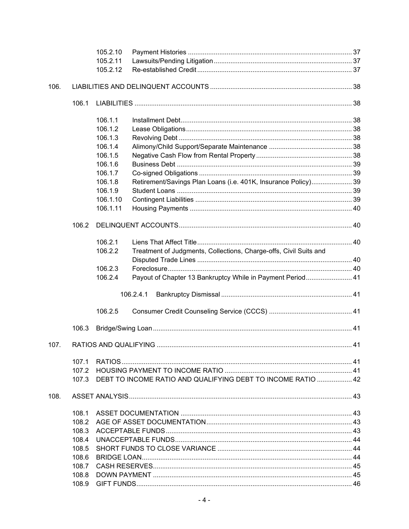|      |       | 105.2.10 |                                                                   |  |  |  |
|------|-------|----------|-------------------------------------------------------------------|--|--|--|
|      |       | 105.2.11 |                                                                   |  |  |  |
|      |       | 105.2.12 |                                                                   |  |  |  |
| 106. |       |          |                                                                   |  |  |  |
|      | 106.1 |          |                                                                   |  |  |  |
|      |       | 106.1.1  |                                                                   |  |  |  |
|      |       | 106.1.2  |                                                                   |  |  |  |
|      |       | 106.1.3  |                                                                   |  |  |  |
|      |       | 106.1.4  |                                                                   |  |  |  |
|      |       | 106.1.5  |                                                                   |  |  |  |
|      |       | 106.1.6  |                                                                   |  |  |  |
|      |       | 106.1.7  |                                                                   |  |  |  |
|      |       | 106.1.8  | Retirement/Savings Plan Loans (i.e. 401K, Insurance Policy) 39    |  |  |  |
|      |       | 106.1.9  |                                                                   |  |  |  |
|      |       | 106.1.10 |                                                                   |  |  |  |
|      |       | 106.1.11 |                                                                   |  |  |  |
|      |       |          |                                                                   |  |  |  |
|      | 106.2 |          |                                                                   |  |  |  |
|      |       | 106.2.1  |                                                                   |  |  |  |
|      |       | 106.2.2  | Treatment of Judgments, Collections, Charge-offs, Civil Suits and |  |  |  |
|      |       |          |                                                                   |  |  |  |
|      |       | 106.2.3  |                                                                   |  |  |  |
|      |       | 106.2.4  | Payout of Chapter 13 Bankruptcy While in Payment Period 41        |  |  |  |
|      |       |          | 106.2.4.1                                                         |  |  |  |
|      |       |          |                                                                   |  |  |  |
|      |       | 106.2.5  |                                                                   |  |  |  |
|      | 106.3 |          |                                                                   |  |  |  |
| 107. |       |          |                                                                   |  |  |  |
|      |       |          |                                                                   |  |  |  |
|      | 107.1 |          |                                                                   |  |  |  |
|      | 107.2 |          |                                                                   |  |  |  |
|      | 107.3 |          | DEBT TO INCOME RATIO AND QUALIFYING DEBT TO INCOME RATIO  42      |  |  |  |
| 108. |       |          |                                                                   |  |  |  |
|      | 108.1 |          |                                                                   |  |  |  |
|      | 108.2 |          |                                                                   |  |  |  |
|      | 108.3 |          |                                                                   |  |  |  |
|      | 108.4 |          |                                                                   |  |  |  |
|      | 108.5 |          |                                                                   |  |  |  |
|      | 108.6 |          |                                                                   |  |  |  |
|      | 108.7 |          |                                                                   |  |  |  |
|      | 108.8 |          |                                                                   |  |  |  |
|      | 108.9 |          |                                                                   |  |  |  |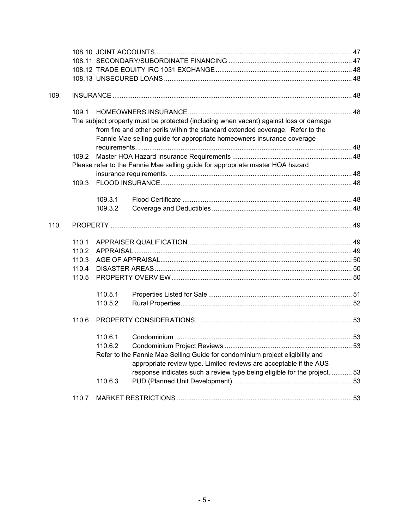| 109. |                                                                                |         |                                                                                       |  |  |  |  |
|------|--------------------------------------------------------------------------------|---------|---------------------------------------------------------------------------------------|--|--|--|--|
|      | 109.1                                                                          |         |                                                                                       |  |  |  |  |
|      |                                                                                |         | The subject property must be protected (including when vacant) against loss or damage |  |  |  |  |
|      |                                                                                |         | from fire and other perils within the standard extended coverage. Refer to the        |  |  |  |  |
|      |                                                                                |         | Fannie Mae selling guide for appropriate homeowners insurance coverage                |  |  |  |  |
|      |                                                                                |         |                                                                                       |  |  |  |  |
|      | 109.2                                                                          |         |                                                                                       |  |  |  |  |
|      | Please refer to the Fannie Mae selling guide for appropriate master HOA hazard |         |                                                                                       |  |  |  |  |
|      |                                                                                |         |                                                                                       |  |  |  |  |
|      | 109.3                                                                          |         |                                                                                       |  |  |  |  |
|      |                                                                                |         |                                                                                       |  |  |  |  |
|      |                                                                                | 109.3.1 |                                                                                       |  |  |  |  |
|      |                                                                                | 109.3.2 |                                                                                       |  |  |  |  |
|      |                                                                                |         |                                                                                       |  |  |  |  |
| 110. |                                                                                |         |                                                                                       |  |  |  |  |
|      | 110.1                                                                          |         |                                                                                       |  |  |  |  |
|      | 110.2                                                                          |         |                                                                                       |  |  |  |  |
|      | 110.3                                                                          |         |                                                                                       |  |  |  |  |
|      | 110.4                                                                          |         |                                                                                       |  |  |  |  |
|      | 110.5                                                                          |         |                                                                                       |  |  |  |  |
|      |                                                                                | 110.5.1 |                                                                                       |  |  |  |  |
|      |                                                                                | 110.5.2 |                                                                                       |  |  |  |  |
|      |                                                                                |         |                                                                                       |  |  |  |  |
|      | 110.6                                                                          |         |                                                                                       |  |  |  |  |
|      |                                                                                | 110.6.1 |                                                                                       |  |  |  |  |
|      |                                                                                | 110.6.2 |                                                                                       |  |  |  |  |
|      |                                                                                |         | Refer to the Fannie Mae Selling Guide for condominium project eligibility and         |  |  |  |  |
|      |                                                                                |         | appropriate review type. Limited reviews are acceptable if the AUS                    |  |  |  |  |
|      |                                                                                |         | response indicates such a review type being eligible for the project.  53             |  |  |  |  |
|      |                                                                                | 110.6.3 |                                                                                       |  |  |  |  |
|      |                                                                                |         |                                                                                       |  |  |  |  |
|      | 110.7                                                                          |         |                                                                                       |  |  |  |  |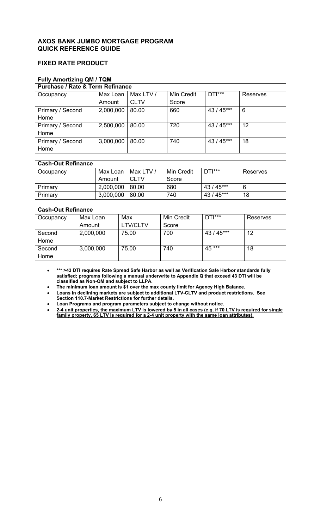# **AXOS BANK JUMBO MORTGAGE PROGRAM QUICK REFERENCE GUIDE**

# **FIXED RATE PRODUCT**

# **Fully Amortizing QM / TQM**

| <b>Purchase / Rate &amp; Term Refinance</b> |           |             |                   |            |          |
|---------------------------------------------|-----------|-------------|-------------------|------------|----------|
| Occupancy                                   | Max Loan  | Max LTV /   | <b>Min Credit</b> | $DTI***$   | Reserves |
|                                             | Amount    | <b>CLTV</b> | Score             |            |          |
| Primary / Second                            | 2,000,000 | 80.00       | 660               | 43 / 45*** | 6        |
| Home                                        |           |             |                   |            |          |
| Primary / Second                            | 2,500,000 | 80.00       | 720               | $43/45***$ | 12       |
| Home                                        |           |             |                   |            |          |
| Primary / Second                            | 3,000,000 | 80.00       | 740               | $43/45***$ | 18       |
| Home                                        |           |             |                   |            |          |

# **Cash-Out Refinance**

| Occupancy | Max Loan I          | Max LTV /   | Min Credit | $DTI***$   | Reserves |
|-----------|---------------------|-------------|------------|------------|----------|
|           | Amount              | <b>CLTV</b> | Score      |            |          |
| Primary   | $2,000,000$   80.00 |             | 680        | 43 / 45*** | 6        |
| Primary   | $3,000,000$   80.00 |             | 740        | 43 / 45*** | 18       |

1

# **Cash-Out Refinance**

| Occupancy | Max Loan  | Max             | Min Credit | $DTI***$   | Reserves |  |
|-----------|-----------|-----------------|------------|------------|----------|--|
|           | Amount    | <b>LTV/CLTV</b> | Score      |            |          |  |
| Second    | 2,000,000 | 75.00           | 700        | 43 / 45*** | 12       |  |
| Home      |           |                 |            |            |          |  |
| Second    | 3,000,000 | 75.00           | 740        | 45 ***     | 18       |  |
| Home      |           |                 |            |            |          |  |

• **\*\*\* >43 DTI requires Rate Spread Safe Harbor as well as Verification Safe Harbor standards fully satisfied; programs following a manual underwrite to Appendix Q that exceed 43 DTI will be classified as Non-QM and subject to LLPA.**

• **The minimum loan amount is \$1 over the max county limit for Agency High Balance.** • **Loans in declining markets are subject to additional LTV-CLTV and product restrictions. See** 

**Section 110.7-Market Restrictions for further details.** 

• **Loan Programs and program parameters subject to change without notice.**

• **2-4 unit properties, the maximum LTV is lowered by 5 in all cases (e.g. if 70 LTV is required for single family property, 65 LTV is required for a 2-4 unit property with the same loan attributes).**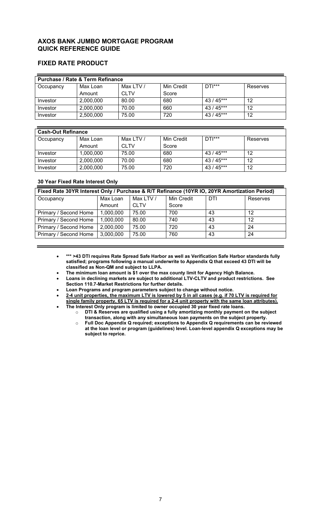# **AXOS BANK JUMBO MORTGAGE PROGRAM QUICK REFERENCE GUIDE**

# **FIXED RATE PRODUCT**

| <b>Purchase / Rate &amp; Term Refinance</b> |           |             |            |            |          |
|---------------------------------------------|-----------|-------------|------------|------------|----------|
| Occupancy                                   | Max Loan  | Max LTV /   | Min Credit | $DTI***$   | Reserves |
|                                             | Amount    | <b>CLTV</b> | Score      |            |          |
| Investor                                    | 2,000,000 | 80.00       | 680        | $43/45***$ | 12       |
| Investor                                    | 2,000,000 | 70.00       | 660        | $43/45***$ | 12       |
| Investor                                    | 2,500,000 | 75.00       | 720        | $43/45***$ | 12       |

| <b>Cash-Out Refinance</b> |           |             |            |            |          |  |
|---------------------------|-----------|-------------|------------|------------|----------|--|
| Occupancy                 | Max Loan  | Max LTV /   | Min Credit | $DTI***$   | Reserves |  |
|                           | Amount    | <b>CLTV</b> | Score      |            |          |  |
| Investor                  | 1,000,000 | 75.00       | 680        | $43/45***$ | 12       |  |
| Investor                  | 2,000,000 | 70.00       | 680        | $43/45***$ | 12       |  |
| Investor                  | 2,000,000 | 75.00       | 720        | $43/45***$ | 12       |  |

# **30 Year Fixed Rate Interest Only**

| Fixed Rate 30YR Interest Only / Purchase & R/T Refinance (10YR IO, 20YR Amortization Period) |           |             |            |     |          |
|----------------------------------------------------------------------------------------------|-----------|-------------|------------|-----|----------|
| Occupancy                                                                                    | Max Loan  | Max LTV /   | Min Credit | DTI | Reserves |
|                                                                                              | Amount    | <b>CLTV</b> | Score      |     |          |
| Primary / Second Home                                                                        | 1,000,000 | 75.00       | 700        | 43  | 12       |
| Primary / Second Home                                                                        | 1,000,000 | 80.00       | 740        | 43  | 12       |
| Primary / Second Home                                                                        | 2,000,000 | 75.00       | 720        | 43  | 24       |
| Primary / Second Home                                                                        | 3,000,000 | 75.00       | 760        | 43  | 24       |

• **\*\*\* >43 DTI requires Rate Spread Safe Harbor as well as Verification Safe Harbor standards fully satisfied; programs following a manual underwrite to Appendix Q that exceed 43 DTI will be classified as Non-QM and subject to LLPA.**

• **The minimum loan amount is \$1 over the max county limit for Agency High Balance.**

• **Loans in declining markets are subject to additional LTV-CLTV and product restrictions. See Section 110.7-Market Restrictions for further details.** 

• **Loan Programs and program parameters subject to change without notice.**

• **2-4 unit properties, the maximum LTV is lowered by 5 in all cases (e.g. if 70 LTV is required for single family property, 65 LTV is required for a 2-4 unit property with the same loan attributes).**

• **The Interest Only program is limited to owner occupied 30 year fixed rate loans.** o **DTI & Reserves are qualified using a fully amortizing monthly payment on the subject transaction, along with any simultaneous loan payments on the subject property.**

o **Full Doc Appendix Q required; exceptions to Appendix Q requirements can be reviewed at the loan level or program (guidelines) level. Loan-level appendix Q exceptions may be subject to reprice.**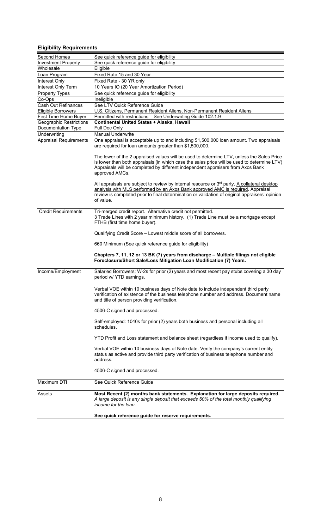# **Eligibility Requirements**

| Second Homes                                            | See quick reference guide for eligibility                                                                                                                                                                                                                                                                  |
|---------------------------------------------------------|------------------------------------------------------------------------------------------------------------------------------------------------------------------------------------------------------------------------------------------------------------------------------------------------------------|
| <b>Investment Property</b>                              | See quick reference guide for eligibility                                                                                                                                                                                                                                                                  |
| Wholesale                                               | Eligible                                                                                                                                                                                                                                                                                                   |
| Loan Program                                            | Fixed Rate 15 and 30 Year                                                                                                                                                                                                                                                                                  |
| Interest Only                                           | Fixed Rate - 30 YR only                                                                                                                                                                                                                                                                                    |
| Interest Only Term                                      | 10 Years IO (20 Year Amortization Period)                                                                                                                                                                                                                                                                  |
| <b>Property Types</b>                                   | See quick reference guide for eligibility                                                                                                                                                                                                                                                                  |
| Co-Ops                                                  | Ineligible                                                                                                                                                                                                                                                                                                 |
| Cash Out Refinances                                     | See LTV Quick Reference Guide                                                                                                                                                                                                                                                                              |
| Eligible Borrowers                                      | U.S. Citizens, Permanent Resident Aliens, Non-Permanent Resident Aliens                                                                                                                                                                                                                                    |
| First Time Home Buyer<br><b>Geographic Restrictions</b> | Permitted with restrictions - See Underwriting Guide 102.1.9<br>Continental United States + Alaska, Hawaii                                                                                                                                                                                                 |
| Documentation Type                                      | Full Doc Only                                                                                                                                                                                                                                                                                              |
| Underwriting                                            | <b>Manual Underwrite</b>                                                                                                                                                                                                                                                                                   |
| <b>Appraisal Requirements</b>                           | One appraisal is acceptable up to and including \$1,500,000 loan amount. Two appraisals                                                                                                                                                                                                                    |
|                                                         | are required for loan amounts greater than \$1,500,000.                                                                                                                                                                                                                                                    |
|                                                         | The lower of the 2 appraised values will be used to determine LTV, unless the Sales Price<br>is lower than both appraisals (in which case the sales price will be used to determine LTV)<br>Appraisals will be completed by different independent appraisers from Axos Bank<br>approved AMCs.              |
|                                                         | All appraisals are subject to review by internal resource or 3 <sup>rd</sup> party. A collateral desktop<br>analysis with MLS performed by an Axos Bank approved AMC is required. Appraisal<br>review is completed prior to final determination or validation of original appraisers' opinion<br>of value. |
|                                                         |                                                                                                                                                                                                                                                                                                            |
| <b>Credit Requirements</b>                              | Tri-merged credit report. Alternative credit not permitted.<br>3 Trade Lines with 2 year minimum history. (1) Trade Line must be a mortgage except<br>FTHB (first time home buyer).                                                                                                                        |
|                                                         | Qualifying Credit Score - Lowest middle score of all borrowers.                                                                                                                                                                                                                                            |
|                                                         | 660 Minimum (See quick reference guide for eligibility)                                                                                                                                                                                                                                                    |
|                                                         | Chapters 7, 11, 12 or 13 BK (7) years from discharge - Multiple filings not eligible<br>Foreclosure/Short Sale/Loss Mitigation Loan Modification (7) Years.                                                                                                                                                |
| Income/Employment                                       | Salaried Borrowers: W-2s for prior (2) years and most recent pay stubs covering a 30 day<br>period w/ YTD earnings.                                                                                                                                                                                        |
|                                                         | Verbal VOE within 10 business days of Note date to include independent third party<br>verification of existence of the business telephone number and address. Document name<br>and title of person providing verification.                                                                                 |
|                                                         | 4506-C signed and processed.                                                                                                                                                                                                                                                                               |
|                                                         | Self-employed: 1040s for prior (2) years both business and personal including all<br>schedules.                                                                                                                                                                                                            |
|                                                         | YTD Profit and Loss statement and balance sheet (regardless if income used to qualify).                                                                                                                                                                                                                    |
|                                                         | Verbal VOE within 10 business days of Note date. Verify the company's current entity<br>status as active and provide third party verification of business telephone number and<br>address.                                                                                                                 |
|                                                         | 4506-C signed and processed.                                                                                                                                                                                                                                                                               |
| Maximum DTI                                             | See Quick Reference Guide                                                                                                                                                                                                                                                                                  |
| Assets                                                  | Most Recent (2) months bank statements. Explanation for large deposits required.<br>A large deposit is any single deposit that exceeds 50% of the total monthly qualifying<br>income for the loan.                                                                                                         |
|                                                         | See quick reference guide for reserve requirements.                                                                                                                                                                                                                                                        |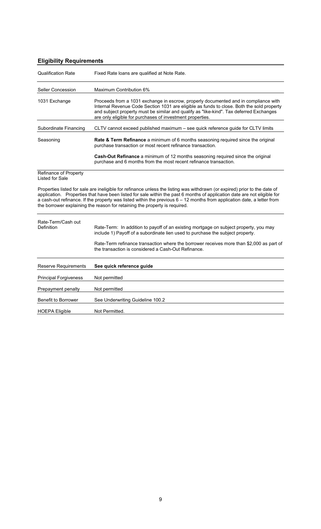|  | <b>Eligibility Requirements</b> |  |
|--|---------------------------------|--|
|--|---------------------------------|--|

| <b>Qualification Rate</b>                                                                                                                                                                                                                                                                                                                                                                                                                                       | Fixed Rate Ioans are qualified at Note Rate.                                                                                                                                                                                                                                                                                             |  |
|-----------------------------------------------------------------------------------------------------------------------------------------------------------------------------------------------------------------------------------------------------------------------------------------------------------------------------------------------------------------------------------------------------------------------------------------------------------------|------------------------------------------------------------------------------------------------------------------------------------------------------------------------------------------------------------------------------------------------------------------------------------------------------------------------------------------|--|
| <b>Seller Concession</b>                                                                                                                                                                                                                                                                                                                                                                                                                                        | Maximum Contribution 6%                                                                                                                                                                                                                                                                                                                  |  |
| 1031 Exchange                                                                                                                                                                                                                                                                                                                                                                                                                                                   | Proceeds from a 1031 exchange in escrow, properly documented and in compliance with<br>Internal Revenue Code Section 1031 are eligible as funds to close. Both the sold property<br>and subject property must be similar and qualify as "like-kind". Tax deferred Exchanges<br>are only eligible for purchases of investment properties. |  |
| Subordinate Financing                                                                                                                                                                                                                                                                                                                                                                                                                                           | CLTV cannot exceed published maximum - see quick reference guide for CLTV limits                                                                                                                                                                                                                                                         |  |
| Seasoning                                                                                                                                                                                                                                                                                                                                                                                                                                                       | Rate & Term Refinance a minimum of 6 months seasoning required since the original<br>purchase transaction or most recent refinance transaction.                                                                                                                                                                                          |  |
|                                                                                                                                                                                                                                                                                                                                                                                                                                                                 | Cash-Out Refinance a minimum of 12 months seasoning required since the original<br>purchase and 6 months from the most recent refinance transaction.                                                                                                                                                                                     |  |
| Refinance of Property<br><b>Listed for Sale</b>                                                                                                                                                                                                                                                                                                                                                                                                                 |                                                                                                                                                                                                                                                                                                                                          |  |
| Properties listed for sale are ineligible for refinance unless the listing was withdrawn (or expired) prior to the date of<br>application. Properties that have been listed for sale within the past 6 months of application date are not eligible for<br>a cash-out refinance. If the property was listed within the previous 6 - 12 months from application date, a letter from<br>the borrower explaining the reason for retaining the property is required. |                                                                                                                                                                                                                                                                                                                                          |  |
| Rate-Term/Cash out<br>Definition                                                                                                                                                                                                                                                                                                                                                                                                                                | Rate-Term: In addition to payoff of an existing mortgage on subject property, you may<br>include 1) Payoff of a subordinate lien used to purchase the subject property.<br>Rate-Term refinance transaction where the borrower receives more than \$2,000 as part of<br>the transaction is considered a Cash-Out Refinance.               |  |
| <b>Reserve Requirements</b>                                                                                                                                                                                                                                                                                                                                                                                                                                     | See quick reference guide                                                                                                                                                                                                                                                                                                                |  |
| <b>Principal Forgiveness</b>                                                                                                                                                                                                                                                                                                                                                                                                                                    | Not permitted                                                                                                                                                                                                                                                                                                                            |  |
| Prepayment penalty                                                                                                                                                                                                                                                                                                                                                                                                                                              | Not permitted                                                                                                                                                                                                                                                                                                                            |  |
| <b>Benefit to Borrower</b>                                                                                                                                                                                                                                                                                                                                                                                                                                      | See Underwriting Guideline 100.2                                                                                                                                                                                                                                                                                                         |  |
| <b>HOEPA Eligible</b>                                                                                                                                                                                                                                                                                                                                                                                                                                           | Not Permitted.                                                                                                                                                                                                                                                                                                                           |  |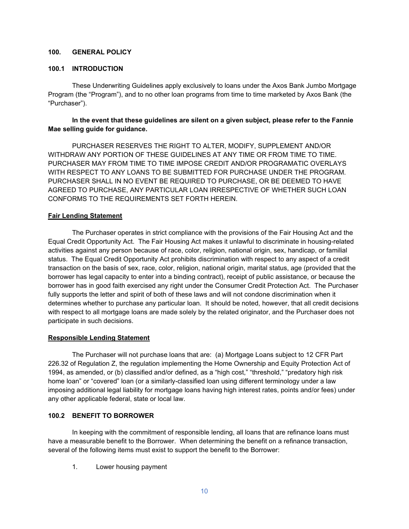#### **100. GENERAL POLICY**

#### **100.1 INTRODUCTION**

These Underwriting Guidelines apply exclusively to loans under the Axos Bank Jumbo Mortgage Program (the "Program"), and to no other loan programs from time to time marketed by Axos Bank (the "Purchaser").

### **In the event that these guidelines are silent on a given subject, please refer to the Fannie Mae selling guide for guidance.**

PURCHASER RESERVES THE RIGHT TO ALTER, MODIFY, SUPPLEMENT AND/OR WITHDRAW ANY PORTION OF THESE GUIDELINES AT ANY TIME OR FROM TIME TO TIME. PURCHASER MAY FROM TIME TO TIME IMPOSE CREDIT AND/OR PROGRAMATIC OVERLAYS WITH RESPECT TO ANY LOANS TO BE SUBMITTED FOR PURCHASE UNDER THE PROGRAM. PURCHASER SHALL IN NO EVENT BE REQUIRED TO PURCHASE, OR BE DEEMED TO HAVE AGREED TO PURCHASE, ANY PARTICULAR LOAN IRRESPECTIVE OF WHETHER SUCH LOAN CONFORMS TO THE REQUIREMENTS SET FORTH HEREIN.

### **Fair Lending Statement**

The Purchaser operates in strict compliance with the provisions of the Fair Housing Act and the Equal Credit Opportunity Act. The Fair Housing Act makes it unlawful to discriminate in housing-related activities against any person because of race, color, religion, national origin, sex, handicap, or familial status. The Equal Credit Opportunity Act prohibits discrimination with respect to any aspect of a credit transaction on the basis of sex, race, color, religion, national origin, marital status, age (provided that the borrower has legal capacity to enter into a binding contract), receipt of public assistance, or because the borrower has in good faith exercised any right under the Consumer Credit Protection Act. The Purchaser fully supports the letter and spirit of both of these laws and will not condone discrimination when it determines whether to purchase any particular loan. It should be noted, however, that all credit decisions with respect to all mortgage loans are made solely by the related originator, and the Purchaser does not participate in such decisions.

### **Responsible Lending Statement**

The Purchaser will not purchase loans that are: (a) Mortgage Loans subject to 12 CFR Part 226.32 of Regulation Z, the regulation implementing the Home Ownership and Equity Protection Act of 1994, as amended, or (b) classified and/or defined, as a "high cost," "threshold," "predatory high risk home loan" or "covered" loan (or a similarly-classified loan using different terminology under a law imposing additional legal liability for mortgage loans having high interest rates, points and/or fees) under any other applicable federal, state or local law.

### **100.2 BENEFIT TO BORROWER**

In keeping with the commitment of responsible lending, all loans that are refinance loans must have a measurable benefit to the Borrower. When determining the benefit on a refinance transaction, several of the following items must exist to support the benefit to the Borrower:

1. Lower housing payment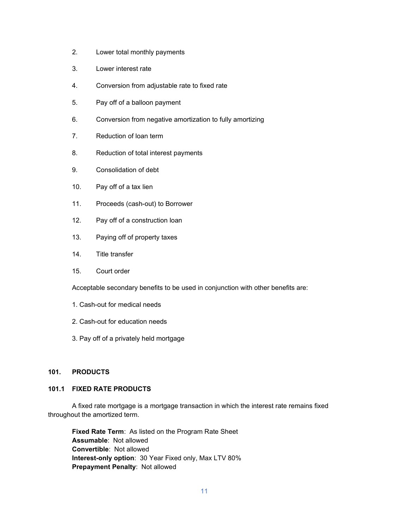- 2. Lower total monthly payments
- 3. Lower interest rate
- 4. Conversion from adjustable rate to fixed rate
- 5. Pay off of a balloon payment
- 6. Conversion from negative amortization to fully amortizing
- 7. Reduction of loan term
- 8. Reduction of total interest payments
- 9. Consolidation of debt
- 10. Pay off of a tax lien
- 11. Proceeds (cash-out) to Borrower
- 12. Pay off of a construction loan
- 13. Paying off of property taxes
- 14. Title transfer
- 15. Court order

Acceptable secondary benefits to be used in conjunction with other benefits are:

- 1. Cash-out for medical needs
- 2. Cash-out for education needs
- 3. Pay off of a privately held mortgage

### **101. PRODUCTS**

### **101.1 FIXED RATE PRODUCTS**

A fixed rate mortgage is a mortgage transaction in which the interest rate remains fixed throughout the amortized term.

**Fixed Rate Term**: As listed on the Program Rate Sheet **Assumable**: Not allowed **Convertible**: Not allowed **Interest-only option**: 30 Year Fixed only, Max LTV 80% **Prepayment Penalty**: Not allowed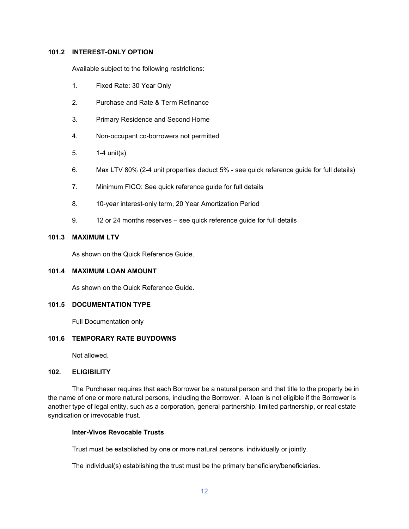#### **101.2 INTEREST-ONLY OPTION**

Available subject to the following restrictions:

- 1. Fixed Rate: 30 Year Only
- 2. Purchase and Rate & Term Refinance
- 3. Primary Residence and Second Home
- 4. Non-occupant co-borrowers not permitted
- 5. 1-4 unit(s)
- 6. Max LTV 80% (2-4 unit properties deduct 5% see quick reference guide for full details)
- 7. Minimum FICO: See quick reference guide for full details
- 8. 10-year interest-only term, 20 Year Amortization Period
- 9. 12 or 24 months reserves see quick reference guide for full details

#### **101.3 MAXIMUM LTV**

As shown on the Quick Reference Guide.

#### **101.4 MAXIMUM LOAN AMOUNT**

As shown on the Quick Reference Guide.

#### **101.5 DOCUMENTATION TYPE**

Full Documentation only

### **101.6 TEMPORARY RATE BUYDOWNS**

Not allowed.

### **102. ELIGIBILITY**

The Purchaser requires that each Borrower be a natural person and that title to the property be in the name of one or more natural persons, including the Borrower. A loan is not eligible if the Borrower is another type of legal entity, such as a corporation, general partnership, limited partnership, or real estate syndication or irrevocable trust.

#### **Inter-Vivos Revocable Trusts**

Trust must be established by one or more natural persons, individually or jointly.

The individual(s) establishing the trust must be the primary beneficiary/beneficiaries.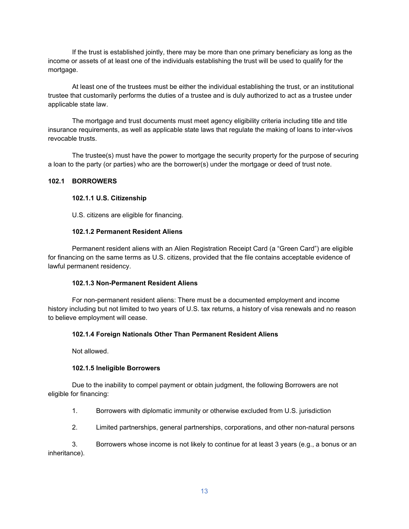If the trust is established jointly, there may be more than one primary beneficiary as long as the income or assets of at least one of the individuals establishing the trust will be used to qualify for the mortgage.

At least one of the trustees must be either the individual establishing the trust, or an institutional trustee that customarily performs the duties of a trustee and is duly authorized to act as a trustee under applicable state law.

The mortgage and trust documents must meet agency eligibility criteria including title and title insurance requirements, as well as applicable state laws that regulate the making of loans to inter-vivos revocable trusts.

The trustee(s) must have the power to mortgage the security property for the purpose of securing a loan to the party (or parties) who are the borrower(s) under the mortgage or deed of trust note.

#### **102.1 BORROWERS**

### **102.1.1 U.S. Citizenship**

U.S. citizens are eligible for financing.

### **102.1.2 Permanent Resident Aliens**

Permanent resident aliens with an Alien Registration Receipt Card (a "Green Card") are eligible for financing on the same terms as U.S. citizens, provided that the file contains acceptable evidence of lawful permanent residency.

#### **102.1.3 Non-Permanent Resident Aliens**

For non-permanent resident aliens: There must be a documented employment and income history including but not limited to two years of U.S. tax returns, a history of visa renewals and no reason to believe employment will cease.

#### **102.1.4 Foreign Nationals Other Than Permanent Resident Aliens**

Not allowed.

#### **102.1.5 Ineligible Borrowers**

Due to the inability to compel payment or obtain judgment, the following Borrowers are not eligible for financing:

- 1. Borrowers with diplomatic immunity or otherwise excluded from U.S. jurisdiction
- 2. Limited partnerships, general partnerships, corporations, and other non-natural persons

3. Borrowers whose income is not likely to continue for at least 3 years (e.g., a bonus or an inheritance).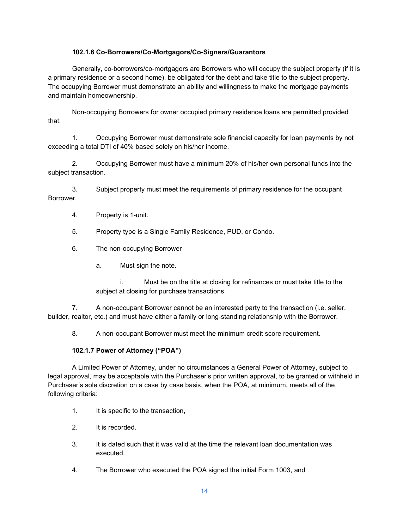### **102.1.6 Co-Borrowers/Co-Mortgagors/Co-Signers/Guarantors**

Generally, co-borrowers/co-mortgagors are Borrowers who will occupy the subject property (if it is a primary residence or a second home), be obligated for the debt and take title to the subject property. The occupying Borrower must demonstrate an ability and willingness to make the mortgage payments and maintain homeownership.

Non-occupying Borrowers for owner occupied primary residence loans are permitted provided that:

1. Occupying Borrower must demonstrate sole financial capacity for loan payments by not exceeding a total DTI of 40% based solely on his/her income.

2. Occupying Borrower must have a minimum 20% of his/her own personal funds into the subject transaction.

3. Subject property must meet the requirements of primary residence for the occupant Borrower.

- 4. Property is 1-unit.
- 5. Property type is a Single Family Residence, PUD, or Condo.
- 6. The non-occupying Borrower
	- a. Must sign the note.

i. Must be on the title at closing for refinances or must take title to the subject at closing for purchase transactions.

7. A non-occupant Borrower cannot be an interested party to the transaction (i.e. seller, builder, realtor, etc.) and must have either a family or long-standing relationship with the Borrower.

8. A non-occupant Borrower must meet the minimum credit score requirement.

## **102.1.7 Power of Attorney ("POA")**

A Limited Power of Attorney, under no circumstances a General Power of Attorney, subject to legal approval, may be acceptable with the Purchaser's prior written approval, to be granted or withheld in Purchaser's sole discretion on a case by case basis, when the POA, at minimum, meets all of the following criteria:

- 1. It is specific to the transaction,
- 2. It is recorded.
- 3. It is dated such that it was valid at the time the relevant loan documentation was executed.
- 4. The Borrower who executed the POA signed the initial Form 1003, and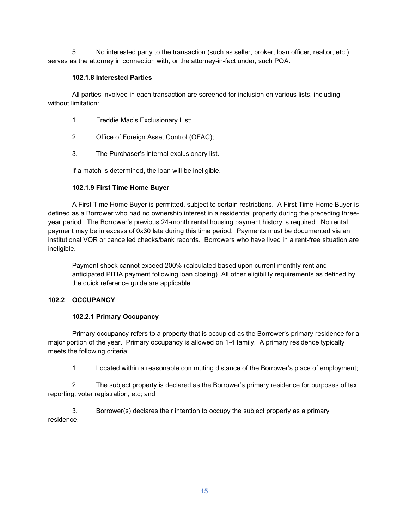5. No interested party to the transaction (such as seller, broker, loan officer, realtor, etc.) serves as the attorney in connection with, or the attorney-in-fact under, such POA.

### **102.1.8 Interested Parties**

All parties involved in each transaction are screened for inclusion on various lists, including without limitation:

- 1. Freddie Mac's Exclusionary List;
- 2. Office of Foreign Asset Control (OFAC);
- 3. The Purchaser's internal exclusionary list.

If a match is determined, the loan will be ineligible.

## **102.1.9 First Time Home Buyer**

A First Time Home Buyer is permitted, subject to certain restrictions. A First Time Home Buyer is defined as a Borrower who had no ownership interest in a residential property during the preceding threeyear period. The Borrower's previous 24-month rental housing payment history is required. No rental payment may be in excess of 0x30 late during this time period. Payments must be documented via an institutional VOR or cancelled checks/bank records. Borrowers who have lived in a rent-free situation are ineligible.

Payment shock cannot exceed 200% (calculated based upon current monthly rent and anticipated PITIA payment following loan closing). All other eligibility requirements as defined by the quick reference guide are applicable.

# **102.2 OCCUPANCY**

### **102.2.1 Primary Occupancy**

Primary occupancy refers to a property that is occupied as the Borrower's primary residence for a major portion of the year. Primary occupancy is allowed on 1-4 family. A primary residence typically meets the following criteria:

1. Located within a reasonable commuting distance of the Borrower's place of employment;

2. The subject property is declared as the Borrower's primary residence for purposes of tax reporting, voter registration, etc; and

3. Borrower(s) declares their intention to occupy the subject property as a primary residence.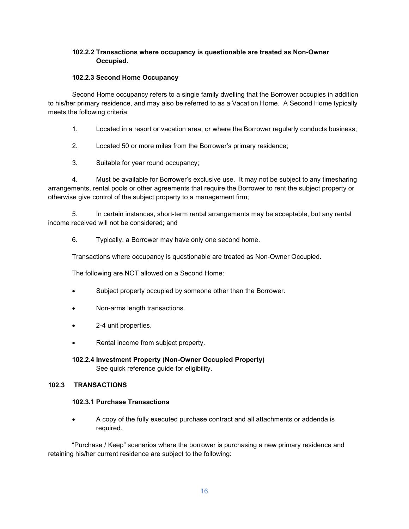## **102.2.2 Transactions where occupancy is questionable are treated as Non-Owner Occupied.**

### **102.2.3 Second Home Occupancy**

Second Home occupancy refers to a single family dwelling that the Borrower occupies in addition to his/her primary residence, and may also be referred to as a Vacation Home. A Second Home typically meets the following criteria:

- 1. Located in a resort or vacation area, or where the Borrower regularly conducts business;
- 2. Located 50 or more miles from the Borrower's primary residence;
- 3. Suitable for year round occupancy;

4. Must be available for Borrower's exclusive use. It may not be subject to any timesharing arrangements, rental pools or other agreements that require the Borrower to rent the subject property or otherwise give control of the subject property to a management firm;

5. In certain instances, short-term rental arrangements may be acceptable, but any rental income received will not be considered; and

6. Typically, a Borrower may have only one second home.

Transactions where occupancy is questionable are treated as Non-Owner Occupied.

The following are NOT allowed on a Second Home:

- Subject property occupied by someone other than the Borrower.
- Non-arms length transactions.
- 2-4 unit properties.
- Rental income from subject property.

### **102.2.4 Investment Property (Non-Owner Occupied Property)** See quick reference guide for eligibility.

### **102.3 TRANSACTIONS**

### **102.3.1 Purchase Transactions**

• A copy of the fully executed purchase contract and all attachments or addenda is required.

"Purchase / Keep" scenarios where the borrower is purchasing a new primary residence and retaining his/her current residence are subject to the following: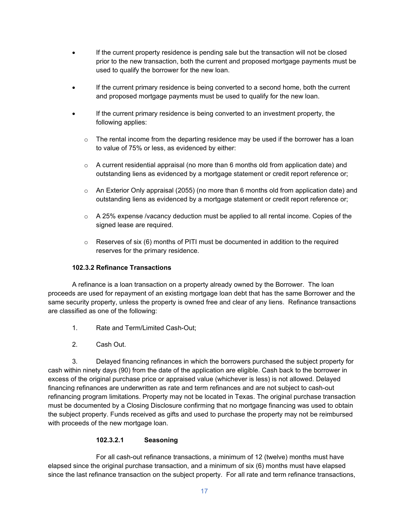- If the current property residence is pending sale but the transaction will not be closed prior to the new transaction, both the current and proposed mortgage payments must be used to qualify the borrower for the new loan.
- If the current primary residence is being converted to a second home, both the current and proposed mortgage payments must be used to qualify for the new loan.
- If the current primary residence is being converted to an investment property, the following applies:
	- $\circ$  The rental income from the departing residence may be used if the borrower has a loan to value of 75% or less, as evidenced by either:
	- $\circ$  A current residential appraisal (no more than 6 months old from application date) and outstanding liens as evidenced by a mortgage statement or credit report reference or;
	- o An Exterior Only appraisal (2055) (no more than 6 months old from application date) and outstanding liens as evidenced by a mortgage statement or credit report reference or;
	- $\circ$  A 25% expense /vacancy deduction must be applied to all rental income. Copies of the signed lease are required.
	- $\circ$  Reserves of six (6) months of PITI must be documented in addition to the required reserves for the primary residence.

### **102.3.2 Refinance Transactions**

A refinance is a loan transaction on a property already owned by the Borrower. The loan proceeds are used for repayment of an existing mortgage loan debt that has the same Borrower and the same security property, unless the property is owned free and clear of any liens. Refinance transactions are classified as one of the following:

- 1. Rate and Term/Limited Cash-Out;
- 2. Cash Out.

3. Delayed financing refinances in which the borrowers purchased the subject property for cash within ninety days (90) from the date of the application are eligible. Cash back to the borrower in excess of the original purchase price or appraised value (whichever is less) is not allowed. Delayed financing refinances are underwritten as rate and term refinances and are not subject to cash-out refinancing program limitations. Property may not be located in Texas. The original purchase transaction must be documented by a Closing Disclosure confirming that no mortgage financing was used to obtain the subject property. Funds received as gifts and used to purchase the property may not be reimbursed with proceeds of the new mortgage loan.

### **102.3.2.1 Seasoning**

For all cash-out refinance transactions, a minimum of 12 (twelve) months must have elapsed since the original purchase transaction, and a minimum of six (6) months must have elapsed since the last refinance transaction on the subject property. For all rate and term refinance transactions,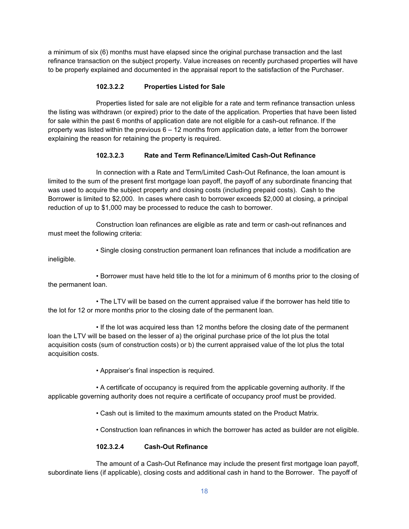a minimum of six (6) months must have elapsed since the original purchase transaction and the last refinance transaction on the subject property. Value increases on recently purchased properties will have to be properly explained and documented in the appraisal report to the satisfaction of the Purchaser.

## **102.3.2.2 Properties Listed for Sale**

Properties listed for sale are not eligible for a rate and term refinance transaction unless the listing was withdrawn (or expired) prior to the date of the application. Properties that have been listed for sale within the past 6 months of application date are not eligible for a cash-out refinance. If the property was listed within the previous  $6 - 12$  months from application date, a letter from the borrower explaining the reason for retaining the property is required.

### **102.3.2.3 Rate and Term Refinance/Limited Cash-Out Refinance**

In connection with a Rate and Term/Limited Cash-Out Refinance, the loan amount is limited to the sum of the present first mortgage loan payoff, the payoff of any subordinate financing that was used to acquire the subject property and closing costs (including prepaid costs). Cash to the Borrower is limited to \$2,000. In cases where cash to borrower exceeds \$2,000 at closing, a principal reduction of up to \$1,000 may be processed to reduce the cash to borrower.

Construction loan refinances are eligible as rate and term or cash-out refinances and must meet the following criteria:

• Single closing construction permanent loan refinances that include a modification are ineligible.

• Borrower must have held title to the lot for a minimum of 6 months prior to the closing of the permanent loan.

• The LTV will be based on the current appraised value if the borrower has held title to the lot for 12 or more months prior to the closing date of the permanent loan.

• If the lot was acquired less than 12 months before the closing date of the permanent loan the LTV will be based on the lesser of a) the original purchase price of the lot plus the total acquisition costs (sum of construction costs) or b) the current appraised value of the lot plus the total acquisition costs.

• Appraiser's final inspection is required.

• A certificate of occupancy is required from the applicable governing authority. If the applicable governing authority does not require a certificate of occupancy proof must be provided.

• Cash out is limited to the maximum amounts stated on the Product Matrix.

• Construction loan refinances in which the borrower has acted as builder are not eligible.

# **102.3.2.4 Cash-Out Refinance**

The amount of a Cash-Out Refinance may include the present first mortgage loan payoff, subordinate liens (if applicable), closing costs and additional cash in hand to the Borrower. The payoff of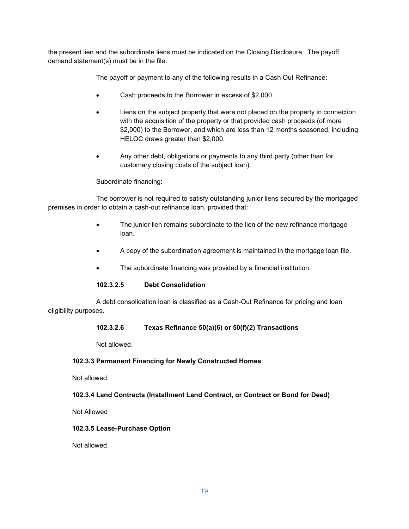the present lien and the subordinate liens must be indicated on the Closing Disclosure. The payoff demand statement(s) must be in the file.

The payoff or payment to any of the following results in a Cash Out Refinance:

- Cash proceeds to the Borrower in excess of \$2,000.
- Liens on the subject property that were not placed on the property in connection with the acquisition of the property or that provided cash proceeds (of more \$2,000) to the Borrower, and which are less than 12 months seasoned, including HELOC draws greater than \$2,000.
- Any other debt, obligations or payments to any third party (other than for customary closing costs of the subject loan).

### Subordinate financing:

The borrower is not required to satisfy outstanding junior liens secured by the mortgaged premises in order to obtain a cash-out refinance loan, provided that:

- The junior lien remains subordinate to the lien of the new refinance mortgage loan.
- A copy of the subordination agreement is maintained in the mortgage loan file.
- The subordinate financing was provided by a financial institution.

### **102.3.2.5 Debt Consolidation**

A debt consolidation loan is classified as a Cash-Out Refinance for pricing and loan eligibility purposes.

### **102.3.2.6 Texas Refinance 50(a)(6) or 50(f)(2) Transactions**

Not allowed.

### **102.3.3 Permanent Financing for Newly Constructed Homes**

Not allowed.

### **102.3.4 Land Contracts (Installment Land Contract, or Contract or Bond for Deed)**

Not Allowed

### **102.3.5 Lease-Purchase Option**

Not allowed.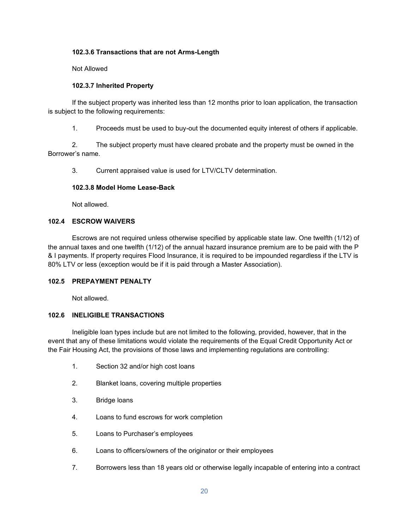### **102.3.6 Transactions that are not Arms-Length**

Not Allowed

### **102.3.7 Inherited Property**

If the subject property was inherited less than 12 months prior to loan application, the transaction is subject to the following requirements:

1. Proceeds must be used to buy-out the documented equity interest of others if applicable.

2. The subject property must have cleared probate and the property must be owned in the Borrower's name.

3. Current appraised value is used for LTV/CLTV determination.

### **102.3.8 Model Home Lease-Back**

Not allowed.

### **102.4 ESCROW WAIVERS**

Escrows are not required unless otherwise specified by applicable state law. One twelfth (1/12) of the annual taxes and one twelfth (1/12) of the annual hazard insurance premium are to be paid with the P & I payments. If property requires Flood Insurance, it is required to be impounded regardless if the LTV is 80% LTV or less (exception would be if it is paid through a Master Association).

#### **102.5 PREPAYMENT PENALTY**

Not allowed.

### **102.6 INELIGIBLE TRANSACTIONS**

Ineligible loan types include but are not limited to the following, provided, however, that in the event that any of these limitations would violate the requirements of the Equal Credit Opportunity Act or the Fair Housing Act, the provisions of those laws and implementing regulations are controlling:

- 1. Section 32 and/or high cost loans
- 2. Blanket loans, covering multiple properties
- 3. Bridge loans
- 4. Loans to fund escrows for work completion
- 5. Loans to Purchaser's employees
- 6. Loans to officers/owners of the originator or their employees
- 7. Borrowers less than 18 years old or otherwise legally incapable of entering into a contract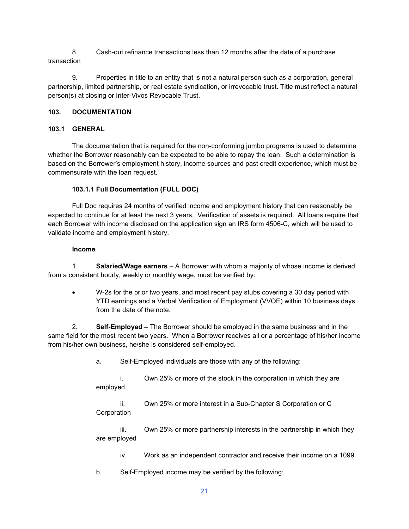8. Cash-out refinance transactions less than 12 months after the date of a purchase transaction

9. Properties in title to an entity that is not a natural person such as a corporation, general partnership, limited partnership, or real estate syndication, or irrevocable trust. Title must reflect a natural person(s) at closing or Inter-Vivos Revocable Trust.

### **103. DOCUMENTATION**

## **103.1 GENERAL**

The documentation that is required for the non-conforming jumbo programs is used to determine whether the Borrower reasonably can be expected to be able to repay the loan. Such a determination is based on the Borrower's employment history, income sources and past credit experience, which must be commensurate with the loan request.

## **103.1.1 Full Documentation (FULL DOC)**

Full Doc requires 24 months of verified income and employment history that can reasonably be expected to continue for at least the next 3 years. Verification of assets is required. All loans require that each Borrower with income disclosed on the application sign an IRS form 4506-C, which will be used to validate income and employment history.

### **Income**

1. **Salaried/Wage earners** – A Borrower with whom a majority of whose income is derived from a consistent hourly, weekly or monthly wage, must be verified by:

• W-2s for the prior two years, and most recent pay stubs covering a 30 day period with YTD earnings and a Verbal Verification of Employment (VVOE) within 10 business days from the date of the note.

2. **Self-Employed** – The Borrower should be employed in the same business and in the same field for the most recent two years. When a Borrower receives all or a percentage of his/her income from his/her own business, he/she is considered self-employed.

a. Self-Employed individuals are those with any of the following:

i. Own 25% or more of the stock in the corporation in which they are employed

ii. Own 25% or more interest in a Sub-Chapter S Corporation or C **Corporation** 

iii. Own 25% or more partnership interests in the partnership in which they are employed

iv. Work as an independent contractor and receive their income on a 1099

b. Self-Employed income may be verified by the following: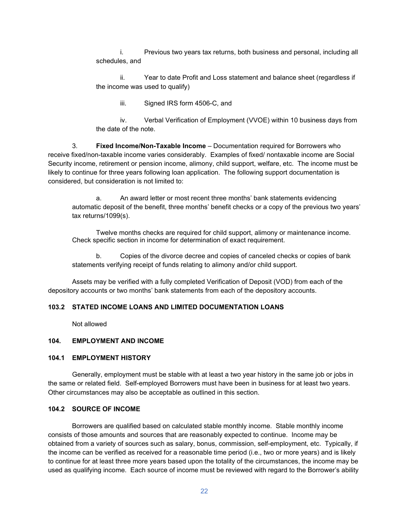i. Previous two years tax returns, both business and personal, including all schedules, and

ii. Year to date Profit and Loss statement and balance sheet (regardless if the income was used to qualify)

iii. Signed IRS form 4506-C, and

iv. Verbal Verification of Employment (VVOE) within 10 business days from the date of the note.

3. **Fixed Income/Non-Taxable Income** – Documentation required for Borrowers who receive fixed/non-taxable income varies considerably. Examples of fixed/ nontaxable income are Social Security income, retirement or pension income, alimony, child support, welfare, etc. The income must be likely to continue for three years following loan application. The following support documentation is considered, but consideration is not limited to:

a. An award letter or most recent three months' bank statements evidencing automatic deposit of the benefit, three months' benefit checks or a copy of the previous two years' tax returns/1099(s).

Twelve months checks are required for child support, alimony or maintenance income. Check specific section in income for determination of exact requirement.

b. Copies of the divorce decree and copies of canceled checks or copies of bank statements verifying receipt of funds relating to alimony and/or child support.

Assets may be verified with a fully completed Verification of Deposit (VOD) from each of the depository accounts or two months' bank statements from each of the depository accounts.

#### **103.2 STATED INCOME LOANS AND LIMITED DOCUMENTATION LOANS**

Not allowed

#### **104. EMPLOYMENT AND INCOME**

#### **104.1 EMPLOYMENT HISTORY**

Generally, employment must be stable with at least a two year history in the same job or jobs in the same or related field. Self-employed Borrowers must have been in business for at least two years. Other circumstances may also be acceptable as outlined in this section.

#### **104.2 SOURCE OF INCOME**

Borrowers are qualified based on calculated stable monthly income. Stable monthly income consists of those amounts and sources that are reasonably expected to continue. Income may be obtained from a variety of sources such as salary, bonus, commission, self-employment, etc. Typically, if the income can be verified as received for a reasonable time period (i.e., two or more years) and is likely to continue for at least three more years based upon the totality of the circumstances, the income may be used as qualifying income. Each source of income must be reviewed with regard to the Borrower's ability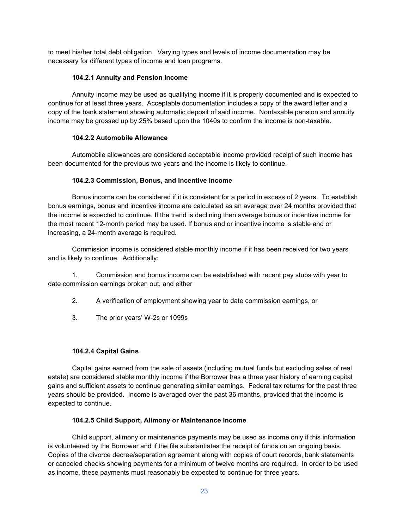to meet his/her total debt obligation. Varying types and levels of income documentation may be necessary for different types of income and loan programs.

### **104.2.1 Annuity and Pension Income**

Annuity income may be used as qualifying income if it is properly documented and is expected to continue for at least three years. Acceptable documentation includes a copy of the award letter and a copy of the bank statement showing automatic deposit of said income. Nontaxable pension and annuity income may be grossed up by 25% based upon the 1040s to confirm the income is non-taxable.

### **104.2.2 Automobile Allowance**

Automobile allowances are considered acceptable income provided receipt of such income has been documented for the previous two years and the income is likely to continue.

### **104.2.3 Commission, Bonus, and Incentive Income**

Bonus income can be considered if it is consistent for a period in excess of 2 years. To establish bonus earnings, bonus and incentive income are calculated as an average over 24 months provided that the income is expected to continue. If the trend is declining then average bonus or incentive income for the most recent 12-month period may be used. If bonus and or incentive income is stable and or increasing, a 24-month average is required.

Commission income is considered stable monthly income if it has been received for two years and is likely to continue. Additionally:

1. Commission and bonus income can be established with recent pay stubs with year to date commission earnings broken out, and either

- 2. A verification of employment showing year to date commission earnings, or
- 3. The prior years' W-2s or 1099s

#### **104.2.4 Capital Gains**

Capital gains earned from the sale of assets (including mutual funds but excluding sales of real estate) are considered stable monthly income if the Borrower has a three year history of earning capital gains and sufficient assets to continue generating similar earnings. Federal tax returns for the past three years should be provided. Income is averaged over the past 36 months, provided that the income is expected to continue.

#### **104.2.5 Child Support, Alimony or Maintenance Income**

Child support, alimony or maintenance payments may be used as income only if this information is volunteered by the Borrower and if the file substantiates the receipt of funds on an ongoing basis. Copies of the divorce decree/separation agreement along with copies of court records, bank statements or canceled checks showing payments for a minimum of twelve months are required. In order to be used as income, these payments must reasonably be expected to continue for three years.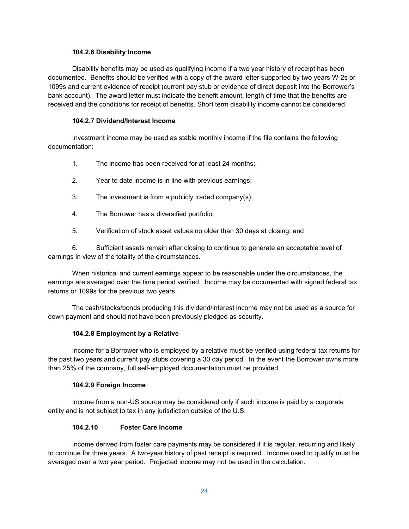#### **104.2.6 Disability Income**

Disability benefits may be used as qualifying income if a two year history of receipt has been documented. Benefits should be verified with a copy of the award letter supported by two years W-2s or 1099s and current evidence of receipt (current pay stub or evidence of direct deposit into the Borrower's bank account). The award letter must indicate the benefit amount, length of time that the benefits are received and the conditions for receipt of benefits. Short term disability income cannot be considered.

### **104.2.7 Dividend/Interest Income**

Investment income may be used as stable monthly income if the file contains the following documentation:

- 1. The income has been received for at least 24 months;
- 2. Year to date income is in line with previous earnings;
- 3. The investment is from a publicly traded company(s);
- 4. The Borrower has a diversified portfolio;
- 5. Verification of stock asset values no older than 30 days at closing; and

6. Sufficient assets remain after closing to continue to generate an acceptable level of earnings in view of the totality of the circumstances.

When historical and current earnings appear to be reasonable under the circumstances, the earnings are averaged over the time period verified. Income may be documented with signed federal tax returns or 1099s for the previous two years.

The cash/stocks/bonds producing this dividend/interest income may not be used as a source for down payment and should not have been previously pledged as security.

### **104.2.8 Employment by a Relative**

Income for a Borrower who is employed by a relative must be verified using federal tax returns for the past two years and current pay stubs covering a 30 day period. In the event the Borrower owns more than 25% of the company, full self-employed documentation must be provided.

### **104.2.9 Foreign Income**

Income from a non-US source may be considered only if such income is paid by a corporate entity and is not subject to tax in any jurisdiction outside of the U.S.

### **104.2.10 Foster Care Income**

Income derived from foster care payments may be considered if it is regular, recurring and likely to continue for three years. A two-year history of past receipt is required. Income used to qualify must be averaged over a two year period. Projected income may not be used in the calculation.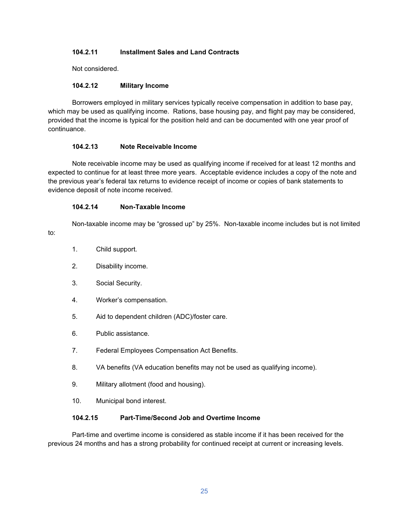### **104.2.11 Installment Sales and Land Contracts**

Not considered.

### **104.2.12 Military Income**

Borrowers employed in military services typically receive compensation in addition to base pay, which may be used as qualifying income. Rations, base housing pay, and flight pay may be considered, provided that the income is typical for the position held and can be documented with one year proof of continuance.

### **104.2.13 Note Receivable Income**

Note receivable income may be used as qualifying income if received for at least 12 months and expected to continue for at least three more years. Acceptable evidence includes a copy of the note and the previous year's federal tax returns to evidence receipt of income or copies of bank statements to evidence deposit of note income received.

### **104.2.14 Non-Taxable Income**

Non-taxable income may be "grossed up" by 25%. Non-taxable income includes but is not limited to:

- 1. Child support.
- 2. Disability income.
- 3. Social Security.
- 4. Worker's compensation.
- 5. Aid to dependent children (ADC)/foster care.
- 6. Public assistance.
- 7. Federal Employees Compensation Act Benefits.
- 8. VA benefits (VA education benefits may not be used as qualifying income).
- 9. Military allotment (food and housing).
- 10. Municipal bond interest.

### **104.2.15 Part-Time/Second Job and Overtime Income**

Part-time and overtime income is considered as stable income if it has been received for the previous 24 months and has a strong probability for continued receipt at current or increasing levels.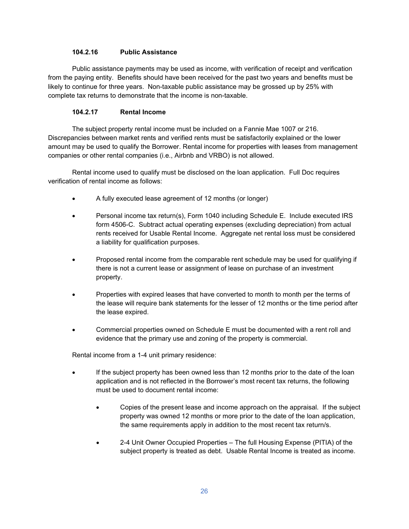### **104.2.16 Public Assistance**

Public assistance payments may be used as income, with verification of receipt and verification from the paying entity. Benefits should have been received for the past two years and benefits must be likely to continue for three years. Non-taxable public assistance may be grossed up by 25% with complete tax returns to demonstrate that the income is non-taxable.

### **104.2.17 Rental Income**

The subject property rental income must be included on a Fannie Mae 1007 or 216. Discrepancies between market rents and verified rents must be satisfactorily explained or the lower amount may be used to qualify the Borrower. Rental income for properties with leases from management companies or other rental companies (i.e., Airbnb and VRBO) is not allowed.

Rental income used to qualify must be disclosed on the loan application. Full Doc requires verification of rental income as follows:

- A fully executed lease agreement of 12 months (or longer)
- Personal income tax return(s), Form 1040 including Schedule E. Include executed IRS form 4506-C. Subtract actual operating expenses (excluding depreciation) from actual rents received for Usable Rental Income. Aggregate net rental loss must be considered a liability for qualification purposes.
- Proposed rental income from the comparable rent schedule may be used for qualifying if there is not a current lease or assignment of lease on purchase of an investment property.
- Properties with expired leases that have converted to month to month per the terms of the lease will require bank statements for the lesser of 12 months or the time period after the lease expired.
- Commercial properties owned on Schedule E must be documented with a rent roll and evidence that the primary use and zoning of the property is commercial.

Rental income from a 1-4 unit primary residence:

- If the subject property has been owned less than 12 months prior to the date of the loan application and is not reflected in the Borrower's most recent tax returns, the following must be used to document rental income:
	- Copies of the present lease and income approach on the appraisal. If the subject property was owned 12 months or more prior to the date of the loan application, the same requirements apply in addition to the most recent tax return/s.
	- 2-4 Unit Owner Occupied Properties The full Housing Expense (PITIA) of the subject property is treated as debt. Usable Rental Income is treated as income.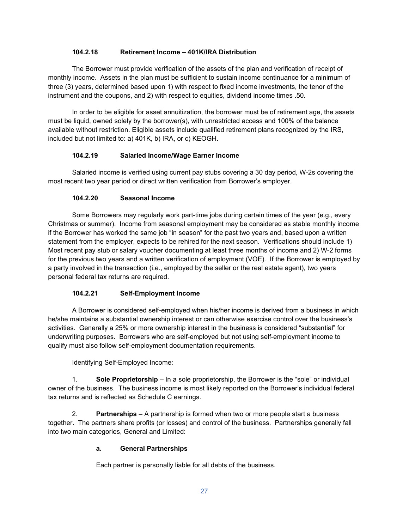### **104.2.18 Retirement Income – 401K/IRA Distribution**

The Borrower must provide verification of the assets of the plan and verification of receipt of monthly income. Assets in the plan must be sufficient to sustain income continuance for a minimum of three (3) years, determined based upon 1) with respect to fixed income investments, the tenor of the instrument and the coupons, and 2) with respect to equities, dividend income times .50.

In order to be eligible for asset annuitization, the borrower must be of retirement age, the assets must be liquid, owned solely by the borrower(s), with unrestricted access and 100% of the balance available without restriction. Eligible assets include qualified retirement plans recognized by the IRS, included but not limited to: a) 401K, b) IRA, or c) KEOGH.

### **104.2.19 Salaried Income/Wage Earner Income**

Salaried income is verified using current pay stubs covering a 30 day period, W-2s covering the most recent two year period or direct written verification from Borrower's employer.

### **104.2.20 Seasonal Income**

Some Borrowers may regularly work part-time jobs during certain times of the year (e.g., every Christmas or summer). Income from seasonal employment may be considered as stable monthly income if the Borrower has worked the same job "in season" for the past two years and, based upon a written statement from the employer, expects to be rehired for the next season. Verifications should include 1) Most recent pay stub or salary voucher documenting at least three months of income and 2) W-2 forms for the previous two years and a written verification of employment (VOE). If the Borrower is employed by a party involved in the transaction (i.e., employed by the seller or the real estate agent), two years personal federal tax returns are required.

### **104.2.21 Self-Employment Income**

A Borrower is considered self-employed when his/her income is derived from a business in which he/she maintains a substantial ownership interest or can otherwise exercise control over the business's activities. Generally a 25% or more ownership interest in the business is considered "substantial" for underwriting purposes. Borrowers who are self-employed but not using self-employment income to qualify must also follow self-employment documentation requirements.

Identifying Self-Employed Income:

1. **Sole Proprietorship** – In a sole proprietorship, the Borrower is the "sole" or individual owner of the business. The business income is most likely reported on the Borrower's individual federal tax returns and is reflected as Schedule C earnings.

2. **Partnerships** – A partnership is formed when two or more people start a business together. The partners share profits (or losses) and control of the business. Partnerships generally fall into two main categories, General and Limited:

### **a. General Partnerships**

Each partner is personally liable for all debts of the business.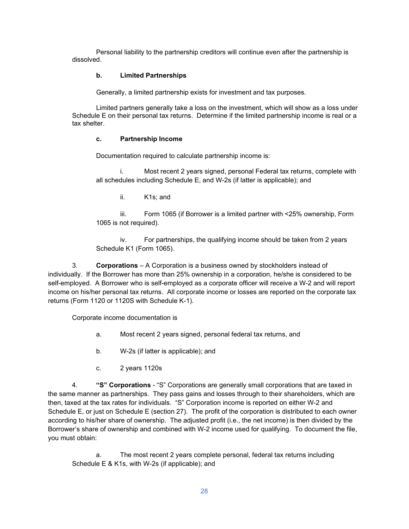Personal liability to the partnership creditors will continue even after the partnership is dissolved.

### **b. Limited Partnerships**

Generally, a limited partnership exists for investment and tax purposes.

Limited partners generally take a loss on the investment, which will show as a loss under Schedule E on their personal tax returns. Determine if the limited partnership income is real or a tax shelter.

### **c. Partnership Income**

Documentation required to calculate partnership income is:

i. Most recent 2 years signed, personal Federal tax returns, complete with all schedules including Schedule E, and W-2s (if latter is applicable); and

ii. K1s; and

iii. Form 1065 (if Borrower is a limited partner with <25% ownership, Form 1065 is not required).

iv. For partnerships, the qualifying income should be taken from 2 years Schedule K1 (Form 1065).

3. **Corporations** – A Corporation is a business owned by stockholders instead of individually. If the Borrower has more than 25% ownership in a corporation, he/she is considered to be self-employed. A Borrower who is self-employed as a corporate officer will receive a W-2 and will report income on his/her personal tax returns. All corporate income or losses are reported on the corporate tax returns (Form 1120 or 1120S with Schedule K-1).

Corporate income documentation is

- a. Most recent 2 years signed, personal federal tax returns, and
- b. W-2s (if latter is applicable); and
- c. 2 years 1120s

4. **"S" Corporations** - "S" Corporations are generally small corporations that are taxed in the same manner as partnerships. They pass gains and losses through to their shareholders, which are then, taxed at the tax rates for individuals. "S" Corporation income is reported on either W-2 and Schedule E, or just on Schedule E (section 27). The profit of the corporation is distributed to each owner according to his/her share of ownership. The adjusted profit (i.e., the net income) is then divided by the Borrower's share of ownership and combined with W-2 income used for qualifying. To document the file, you must obtain:

a. The most recent 2 years complete personal, federal tax returns including Schedule E & K1s, with W-2s (if applicable); and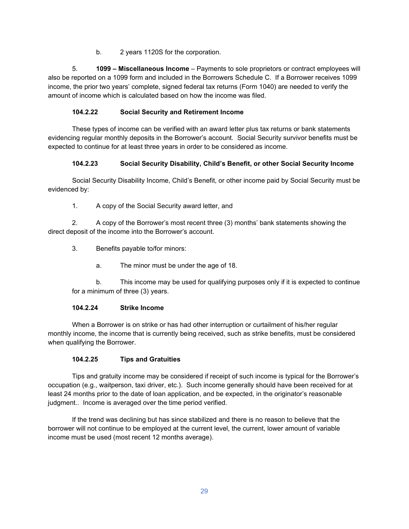b. 2 years 1120S for the corporation.

5. **1099 – Miscellaneous Income** – Payments to sole proprietors or contract employees will also be reported on a 1099 form and included in the Borrowers Schedule C. If a Borrower receives 1099 income, the prior two years' complete, signed federal tax returns (Form 1040) are needed to verify the amount of income which is calculated based on how the income was filed.

## **104.2.22 Social Security and Retirement Income**

These types of income can be verified with an award letter plus tax returns or bank statements evidencing regular monthly deposits in the Borrower's account. Social Security survivor benefits must be expected to continue for at least three years in order to be considered as income.

## **104.2.23 Social Security Disability, Child's Benefit, or other Social Security Income**

Social Security Disability Income, Child's Benefit, or other income paid by Social Security must be evidenced by:

1. A copy of the Social Security award letter, and

2. A copy of the Borrower's most recent three (3) months' bank statements showing the direct deposit of the income into the Borrower's account.

- 3. Benefits payable to/for minors:
	- a. The minor must be under the age of 18.

b. This income may be used for qualifying purposes only if it is expected to continue for a minimum of three (3) years.

### **104.2.24 Strike Income**

When a Borrower is on strike or has had other interruption or curtailment of his/her regular monthly income, the income that is currently being received, such as strike benefits, must be considered when qualifying the Borrower.

### **104.2.25 Tips and Gratuities**

Tips and gratuity income may be considered if receipt of such income is typical for the Borrower's occupation (e.g., waitperson, taxi driver, etc.). Such income generally should have been received for at least 24 months prior to the date of loan application, and be expected, in the originator's reasonable judgment.. Income is averaged over the time period verified.

If the trend was declining but has since stabilized and there is no reason to believe that the borrower will not continue to be employed at the current level, the current, lower amount of variable income must be used (most recent 12 months average).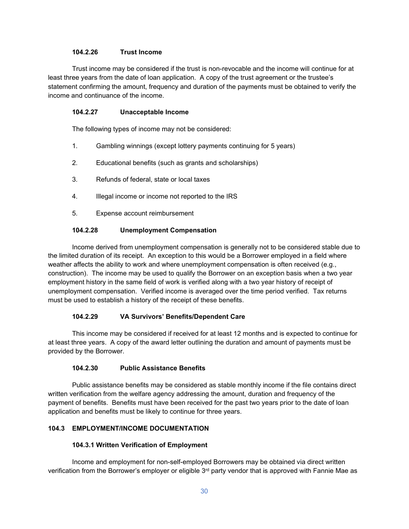### **104.2.26 Trust Income**

Trust income may be considered if the trust is non-revocable and the income will continue for at least three years from the date of loan application. A copy of the trust agreement or the trustee's statement confirming the amount, frequency and duration of the payments must be obtained to verify the income and continuance of the income.

#### **104.2.27 Unacceptable Income**

The following types of income may not be considered:

- 1. Gambling winnings (except lottery payments continuing for 5 years)
- 2. Educational benefits (such as grants and scholarships)
- 3. Refunds of federal, state or local taxes
- 4. Illegal income or income not reported to the IRS
- 5. Expense account reimbursement

### **104.2.28 Unemployment Compensation**

Income derived from unemployment compensation is generally not to be considered stable due to the limited duration of its receipt. An exception to this would be a Borrower employed in a field where weather affects the ability to work and where unemployment compensation is often received (e.g., construction). The income may be used to qualify the Borrower on an exception basis when a two year employment history in the same field of work is verified along with a two year history of receipt of unemployment compensation. Verified income is averaged over the time period verified. Tax returns must be used to establish a history of the receipt of these benefits.

#### **104.2.29 VA Survivors' Benefits/Dependent Care**

This income may be considered if received for at least 12 months and is expected to continue for at least three years. A copy of the award letter outlining the duration and amount of payments must be provided by the Borrower.

#### **104.2.30 Public Assistance Benefits**

Public assistance benefits may be considered as stable monthly income if the file contains direct written verification from the welfare agency addressing the amount, duration and frequency of the payment of benefits. Benefits must have been received for the past two years prior to the date of loan application and benefits must be likely to continue for three years.

### **104.3 EMPLOYMENT/INCOME DOCUMENTATION**

#### **104.3.1 Written Verification of Employment**

Income and employment for non-self-employed Borrowers may be obtained via direct written verification from the Borrower's employer or eligible  $3<sup>rd</sup>$  party vendor that is approved with Fannie Mae as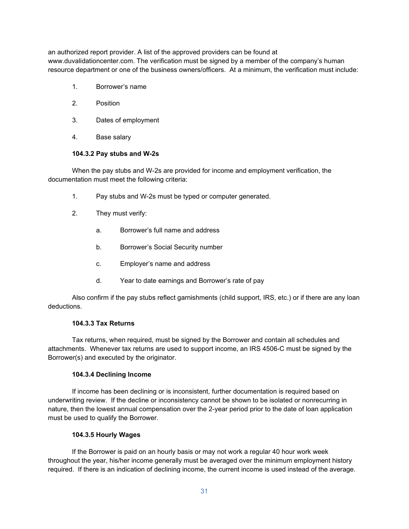an authorized report provider. A list of the approved providers can be found at www.duvalidationcenter.com. The verification must be signed by a member of the company's human resource department or one of the business owners/officers. At a minimum, the verification must include:

- 1. Borrower's name
- 2. Position
- 3. Dates of employment
- 4. Base salary

#### **104.3.2 Pay stubs and W-2s**

When the pay stubs and W-2s are provided for income and employment verification, the documentation must meet the following criteria:

- 1. Pay stubs and W-2s must be typed or computer generated.
- 2. They must verify:
	- a. Borrower's full name and address
	- b. Borrower's Social Security number
	- c. Employer's name and address
	- d. Year to date earnings and Borrower's rate of pay

Also confirm if the pay stubs reflect garnishments (child support, IRS, etc.) or if there are any loan deductions.

#### **104.3.3 Tax Returns**

Tax returns, when required, must be signed by the Borrower and contain all schedules and attachments. Whenever tax returns are used to support income, an IRS 4506-C must be signed by the Borrower(s) and executed by the originator.

#### **104.3.4 Declining Income**

If income has been declining or is inconsistent, further documentation is required based on underwriting review. If the decline or inconsistency cannot be shown to be isolated or nonrecurring in nature, then the lowest annual compensation over the 2-year period prior to the date of loan application must be used to qualify the Borrower.

#### **104.3.5 Hourly Wages**

If the Borrower is paid on an hourly basis or may not work a regular 40 hour work week throughout the year, his/her income generally must be averaged over the minimum employment history required. If there is an indication of declining income, the current income is used instead of the average.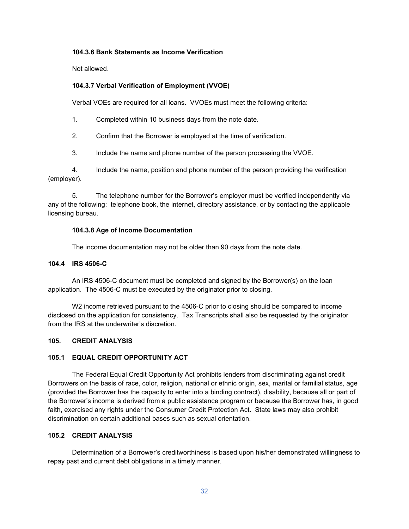#### **104.3.6 Bank Statements as Income Verification**

Not allowed.

### **104.3.7 Verbal Verification of Employment (VVOE)**

Verbal VOEs are required for all loans. VVOEs must meet the following criteria:

1. Completed within 10 business days from the note date.

2. Confirm that the Borrower is employed at the time of verification.

3. Include the name and phone number of the person processing the VVOE.

4. Include the name, position and phone number of the person providing the verification (employer).

5. The telephone number for the Borrower's employer must be verified independently via any of the following: telephone book, the internet, directory assistance, or by contacting the applicable licensing bureau.

### **104.3.8 Age of Income Documentation**

The income documentation may not be older than 90 days from the note date.

#### **104.4 IRS 4506-C**

An IRS 4506-C document must be completed and signed by the Borrower(s) on the loan application. The 4506-C must be executed by the originator prior to closing.

W2 income retrieved pursuant to the 4506-C prior to closing should be compared to income disclosed on the application for consistency. Tax Transcripts shall also be requested by the originator from the IRS at the underwriter's discretion.

#### **105. CREDIT ANALYSIS**

### **105.1 EQUAL CREDIT OPPORTUNITY ACT**

The Federal Equal Credit Opportunity Act prohibits lenders from discriminating against credit Borrowers on the basis of race, color, religion, national or ethnic origin, sex, marital or familial status, age (provided the Borrower has the capacity to enter into a binding contract), disability, because all or part of the Borrower's income is derived from a public assistance program or because the Borrower has, in good faith, exercised any rights under the Consumer Credit Protection Act. State laws may also prohibit discrimination on certain additional bases such as sexual orientation.

### **105.2 CREDIT ANALYSIS**

Determination of a Borrower's creditworthiness is based upon his/her demonstrated willingness to repay past and current debt obligations in a timely manner.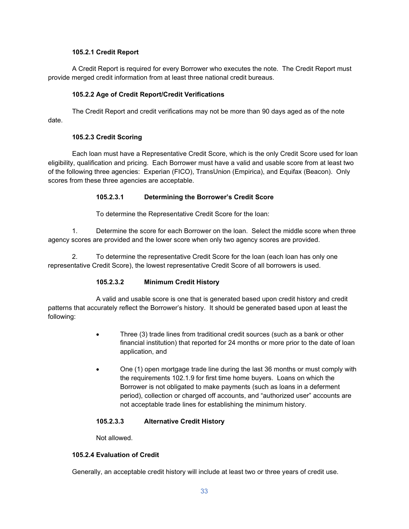### **105.2.1 Credit Report**

A Credit Report is required for every Borrower who executes the note. The Credit Report must provide merged credit information from at least three national credit bureaus.

### **105.2.2 Age of Credit Report/Credit Verifications**

The Credit Report and credit verifications may not be more than 90 days aged as of the note date.

### **105.2.3 Credit Scoring**

Each loan must have a Representative Credit Score, which is the only Credit Score used for loan eligibility, qualification and pricing. Each Borrower must have a valid and usable score from at least two of the following three agencies: Experian (FICO), TransUnion (Empirica), and Equifax (Beacon). Only scores from these three agencies are acceptable.

### **105.2.3.1 Determining the Borrower's Credit Score**

To determine the Representative Credit Score for the loan:

1. Determine the score for each Borrower on the loan. Select the middle score when three agency scores are provided and the lower score when only two agency scores are provided.

2. To determine the representative Credit Score for the loan (each loan has only one representative Credit Score), the lowest representative Credit Score of all borrowers is used.

### **105.2.3.2 Minimum Credit History**

A valid and usable score is one that is generated based upon credit history and credit patterns that accurately reflect the Borrower's history. It should be generated based upon at least the following:

- Three (3) trade lines from traditional credit sources (such as a bank or other financial institution) that reported for 24 months or more prior to the date of loan application, and
- One (1) open mortgage trade line during the last 36 months or must comply with the requirements 102.1.9 for first time home buyers. Loans on which the Borrower is not obligated to make payments (such as loans in a deferment period), collection or charged off accounts, and "authorized user" accounts are not acceptable trade lines for establishing the minimum history.

### **105.2.3.3 Alternative Credit History**

Not allowed.

### **105.2.4 Evaluation of Credit**

Generally, an acceptable credit history will include at least two or three years of credit use.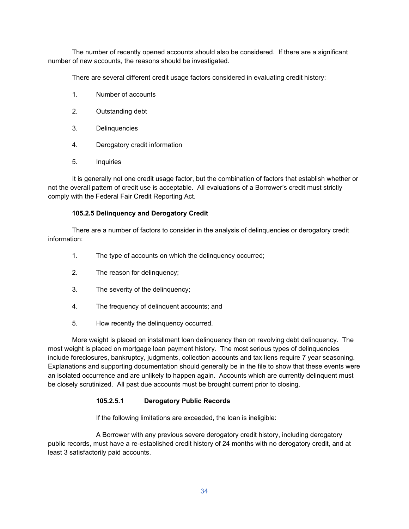The number of recently opened accounts should also be considered. If there are a significant number of new accounts, the reasons should be investigated.

There are several different credit usage factors considered in evaluating credit history:

- 1. Number of accounts
- 2. Outstanding debt
- 3. Delinquencies
- 4. Derogatory credit information
- 5. Inquiries

It is generally not one credit usage factor, but the combination of factors that establish whether or not the overall pattern of credit use is acceptable. All evaluations of a Borrower's credit must strictly comply with the Federal Fair Credit Reporting Act.

## **105.2.5 Delinquency and Derogatory Credit**

There are a number of factors to consider in the analysis of delinquencies or derogatory credit information:

- 1. The type of accounts on which the delinquency occurred;
- 2. The reason for delinquency;
- 3. The severity of the delinquency;
- 4. The frequency of delinquent accounts; and
- 5. How recently the delinquency occurred.

More weight is placed on installment loan delinquency than on revolving debt delinquency. The most weight is placed on mortgage loan payment history. The most serious types of delinquencies include foreclosures, bankruptcy, judgments, collection accounts and tax liens require 7 year seasoning. Explanations and supporting documentation should generally be in the file to show that these events were an isolated occurrence and are unlikely to happen again. Accounts which are currently delinquent must be closely scrutinized. All past due accounts must be brought current prior to closing.

# **105.2.5.1 Derogatory Public Records**

If the following limitations are exceeded, the loan is ineligible:

A Borrower with any previous severe derogatory credit history, including derogatory public records, must have a re-established credit history of 24 months with no derogatory credit, and at least 3 satisfactorily paid accounts.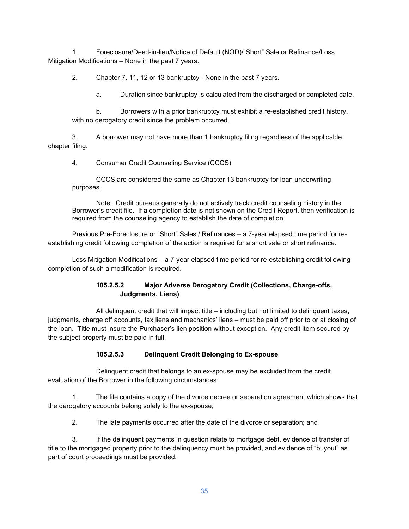1. Foreclosure/Deed-in-lieu/Notice of Default (NOD)/"Short" Sale or Refinance/Loss Mitigation Modifications – None in the past 7 years.

2. Chapter 7, 11, 12 or 13 bankruptcy - None in the past 7 years.

a. Duration since bankruptcy is calculated from the discharged or completed date.

b. Borrowers with a prior bankruptcy must exhibit a re-established credit history, with no derogatory credit since the problem occurred.

3. A borrower may not have more than 1 bankruptcy filing regardless of the applicable chapter filing.

4. Consumer Credit Counseling Service (CCCS)

CCCS are considered the same as Chapter 13 bankruptcy for loan underwriting purposes.

Note: Credit bureaus generally do not actively track credit counseling history in the Borrower's credit file. If a completion date is not shown on the Credit Report, then verification is required from the counseling agency to establish the date of completion.

Previous Pre-Foreclosure or "Short" Sales / Refinances – a 7-year elapsed time period for reestablishing credit following completion of the action is required for a short sale or short refinance.

Loss Mitigation Modifications – a 7-year elapsed time period for re-establishing credit following completion of such a modification is required.

# **105.2.5.2 Major Adverse Derogatory Credit (Collections, Charge-offs, Judgments, Liens)**

All delinquent credit that will impact title – including but not limited to delinquent taxes, judgments, charge off accounts, tax liens and mechanics' liens – must be paid off prior to or at closing of the loan. Title must insure the Purchaser's lien position without exception. Any credit item secured by the subject property must be paid in full.

# **105.2.5.3 Delinquent Credit Belonging to Ex-spouse**

Delinquent credit that belongs to an ex-spouse may be excluded from the credit evaluation of the Borrower in the following circumstances:

1. The file contains a copy of the divorce decree or separation agreement which shows that the derogatory accounts belong solely to the ex-spouse;

2. The late payments occurred after the date of the divorce or separation; and

3. If the delinquent payments in question relate to mortgage debt, evidence of transfer of title to the mortgaged property prior to the delinquency must be provided, and evidence of "buyout" as part of court proceedings must be provided.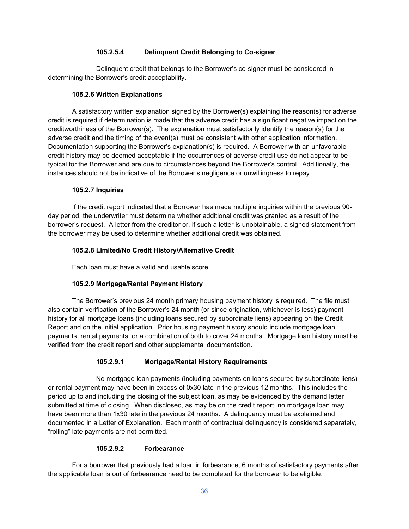### **105.2.5.4 Delinquent Credit Belonging to Co-signer**

Delinquent credit that belongs to the Borrower's co-signer must be considered in determining the Borrower's credit acceptability.

### **105.2.6 Written Explanations**

A satisfactory written explanation signed by the Borrower(s) explaining the reason(s) for adverse credit is required if determination is made that the adverse credit has a significant negative impact on the creditworthiness of the Borrower(s). The explanation must satisfactorily identify the reason(s) for the adverse credit and the timing of the event(s) must be consistent with other application information. Documentation supporting the Borrower's explanation(s) is required. A Borrower with an unfavorable credit history may be deemed acceptable if the occurrences of adverse credit use do not appear to be typical for the Borrower and are due to circumstances beyond the Borrower's control. Additionally, the instances should not be indicative of the Borrower's negligence or unwillingness to repay.

### **105.2.7 Inquiries**

If the credit report indicated that a Borrower has made multiple inquiries within the previous 90 day period, the underwriter must determine whether additional credit was granted as a result of the borrower's request. A letter from the creditor or, if such a letter is unobtainable, a signed statement from the borrower may be used to determine whether additional credit was obtained.

### **105.2.8 Limited/No Credit History/Alternative Credit**

Each loan must have a valid and usable score.

### **105.2.9 Mortgage/Rental Payment History**

The Borrower's previous 24 month primary housing payment history is required. The file must also contain verification of the Borrower's 24 month (or since origination, whichever is less) payment history for all mortgage loans (including loans secured by subordinate liens) appearing on the Credit Report and on the initial application. Prior housing payment history should include mortgage loan payments, rental payments, or a combination of both to cover 24 months. Mortgage loan history must be verified from the credit report and other supplemental documentation.

### **105.2.9.1 Mortgage/Rental History Requirements**

No mortgage loan payments (including payments on loans secured by subordinate liens) or rental payment may have been in excess of 0x30 late in the previous 12 months. This includes the period up to and including the closing of the subject loan, as may be evidenced by the demand letter submitted at time of closing. When disclosed, as may be on the credit report, no mortgage loan may have been more than 1x30 late in the previous 24 months. A delinquency must be explained and documented in a Letter of Explanation. Each month of contractual delinquency is considered separately, "rolling" late payments are not permitted.

### **105.2.9.2 Forbearance**

For a borrower that previously had a loan in forbearance, 6 months of satisfactory payments after the applicable loan is out of forbearance need to be completed for the borrower to be eligible.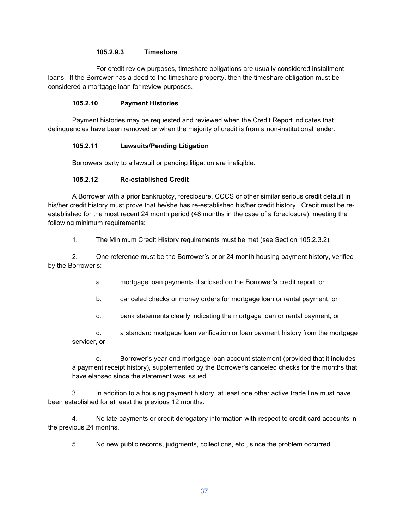### **105.2.9.3 Timeshare**

For credit review purposes, timeshare obligations are usually considered installment loans. If the Borrower has a deed to the timeshare property, then the timeshare obligation must be considered a mortgage loan for review purposes.

### **105.2.10 Payment Histories**

Payment histories may be requested and reviewed when the Credit Report indicates that delinquencies have been removed or when the majority of credit is from a non-institutional lender.

### **105.2.11 Lawsuits/Pending Litigation**

Borrowers party to a lawsuit or pending litigation are ineligible.

### **105.2.12 Re-established Credit**

A Borrower with a prior bankruptcy, foreclosure, CCCS or other similar serious credit default in his/her credit history must prove that he/she has re-established his/her credit history. Credit must be reestablished for the most recent 24 month period (48 months in the case of a foreclosure), meeting the following minimum requirements:

1. The Minimum Credit History requirements must be met (see Section 105.2.3.2).

2. One reference must be the Borrower's prior 24 month housing payment history, verified by the Borrower's:

a. mortgage loan payments disclosed on the Borrower's credit report, or

b. canceled checks or money orders for mortgage loan or rental payment, or

c. bank statements clearly indicating the mortgage loan or rental payment, or

d. a standard mortgage loan verification or loan payment history from the mortgage servicer, or

e. Borrower's year-end mortgage loan account statement (provided that it includes a payment receipt history), supplemented by the Borrower's canceled checks for the months that have elapsed since the statement was issued.

3. In addition to a housing payment history, at least one other active trade line must have been established for at least the previous 12 months.

4. No late payments or credit derogatory information with respect to credit card accounts in the previous 24 months.

5. No new public records, judgments, collections, etc., since the problem occurred.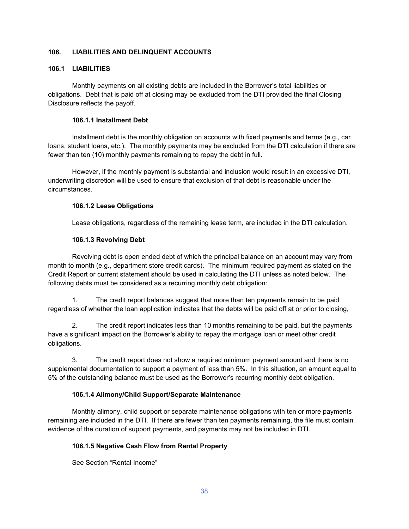### **106. LIABILITIES AND DELINQUENT ACCOUNTS**

### **106.1 LIABILITIES**

Monthly payments on all existing debts are included in the Borrower's total liabilities or obligations. Debt that is paid off at closing may be excluded from the DTI provided the final Closing Disclosure reflects the payoff.

### **106.1.1 Installment Debt**

Installment debt is the monthly obligation on accounts with fixed payments and terms (e.g., car loans, student loans, etc.). The monthly payments may be excluded from the DTI calculation if there are fewer than ten (10) monthly payments remaining to repay the debt in full.

However, if the monthly payment is substantial and inclusion would result in an excessive DTI, underwriting discretion will be used to ensure that exclusion of that debt is reasonable under the circumstances.

### **106.1.2 Lease Obligations**

Lease obligations, regardless of the remaining lease term, are included in the DTI calculation.

### **106.1.3 Revolving Debt**

Revolving debt is open ended debt of which the principal balance on an account may vary from month to month (e.g., department store credit cards). The minimum required payment as stated on the Credit Report or current statement should be used in calculating the DTI unless as noted below. The following debts must be considered as a recurring monthly debt obligation:

1. The credit report balances suggest that more than ten payments remain to be paid regardless of whether the loan application indicates that the debts will be paid off at or prior to closing,

2. The credit report indicates less than 10 months remaining to be paid, but the payments have a significant impact on the Borrower's ability to repay the mortgage loan or meet other credit obligations.

3. The credit report does not show a required minimum payment amount and there is no supplemental documentation to support a payment of less than 5%. In this situation, an amount equal to 5% of the outstanding balance must be used as the Borrower's recurring monthly debt obligation.

### **106.1.4 Alimony/Child Support/Separate Maintenance**

Monthly alimony, child support or separate maintenance obligations with ten or more payments remaining are included in the DTI. If there are fewer than ten payments remaining, the file must contain evidence of the duration of support payments, and payments may not be included in DTI.

### **106.1.5 Negative Cash Flow from Rental Property**

See Section "Rental Income"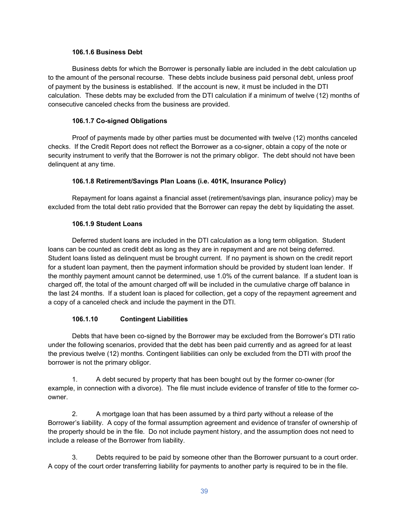### **106.1.6 Business Debt**

Business debts for which the Borrower is personally liable are included in the debt calculation up to the amount of the personal recourse. These debts include business paid personal debt, unless proof of payment by the business is established. If the account is new, it must be included in the DTI calculation. These debts may be excluded from the DTI calculation if a minimum of twelve (12) months of consecutive canceled checks from the business are provided.

### **106.1.7 Co-signed Obligations**

Proof of payments made by other parties must be documented with twelve (12) months canceled checks. If the Credit Report does not reflect the Borrower as a co-signer, obtain a copy of the note or security instrument to verify that the Borrower is not the primary obligor. The debt should not have been delinquent at any time.

### **106.1.8 Retirement/Savings Plan Loans (i.e. 401K, Insurance Policy)**

Repayment for loans against a financial asset (retirement/savings plan, insurance policy) may be excluded from the total debt ratio provided that the Borrower can repay the debt by liquidating the asset.

### **106.1.9 Student Loans**

Deferred student loans are included in the DTI calculation as a long term obligation. Student loans can be counted as credit debt as long as they are in repayment and are not being deferred. Student loans listed as delinquent must be brought current. If no payment is shown on the credit report for a student loan payment, then the payment information should be provided by student loan lender. If the monthly payment amount cannot be determined, use 1.0% of the current balance. If a student loan is charged off, the total of the amount charged off will be included in the cumulative charge off balance in the last 24 months. If a student loan is placed for collection, get a copy of the repayment agreement and a copy of a canceled check and include the payment in the DTI.

### **106.1.10 Contingent Liabilities**

Debts that have been co-signed by the Borrower may be excluded from the Borrower's DTI ratio under the following scenarios, provided that the debt has been paid currently and as agreed for at least the previous twelve (12) months. Contingent liabilities can only be excluded from the DTI with proof the borrower is not the primary obligor.

1. A debt secured by property that has been bought out by the former co-owner (for example, in connection with a divorce). The file must include evidence of transfer of title to the former coowner.

2. A mortgage loan that has been assumed by a third party without a release of the Borrower's liability. A copy of the formal assumption agreement and evidence of transfer of ownership of the property should be in the file. Do not include payment history, and the assumption does not need to include a release of the Borrower from liability.

3. Debts required to be paid by someone other than the Borrower pursuant to a court order. A copy of the court order transferring liability for payments to another party is required to be in the file.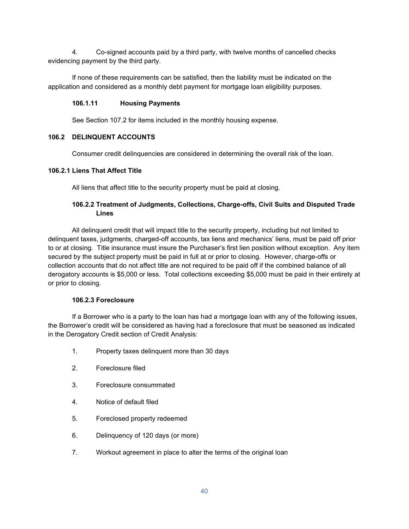4. Co-signed accounts paid by a third party, with twelve months of cancelled checks evidencing payment by the third party.

If none of these requirements can be satisfied, then the liability must be indicated on the application and considered as a monthly debt payment for mortgage loan eligibility purposes.

### **106.1.11 Housing Payments**

See Section 107.2 for items included in the monthly housing expense.

### **106.2 DELINQUENT ACCOUNTS**

Consumer credit delinquencies are considered in determining the overall risk of the loan.

### **106.2.1 Liens That Affect Title**

All liens that affect title to the security property must be paid at closing.

### **106.2.2 Treatment of Judgments, Collections, Charge-offs, Civil Suits and Disputed Trade Lines**

All delinquent credit that will impact title to the security property, including but not limited to delinquent taxes, judgments, charged-off accounts, tax liens and mechanics' liens, must be paid off prior to or at closing. Title insurance must insure the Purchaser's first lien position without exception. Any item secured by the subject property must be paid in full at or prior to closing. However, charge-offs or collection accounts that do not affect title are not required to be paid off if the combined balance of all derogatory accounts is \$5,000 or less. Total collections exceeding \$5,000 must be paid in their entirety at or prior to closing.

#### **106.2.3 Foreclosure**

If a Borrower who is a party to the loan has had a mortgage loan with any of the following issues, the Borrower's credit will be considered as having had a foreclosure that must be seasoned as indicated in the Derogatory Credit section of Credit Analysis:

- 1. Property taxes delinquent more than 30 days
- 2. Foreclosure filed
- 3. Foreclosure consummated
- 4. Notice of default filed
- 5. Foreclosed property redeemed
- 6. Delinquency of 120 days (or more)
- 7. Workout agreement in place to alter the terms of the original loan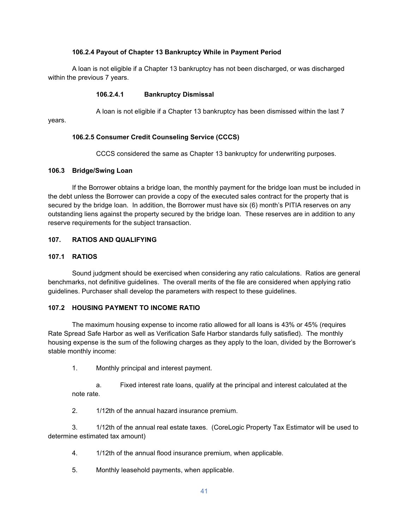### **106.2.4 Payout of Chapter 13 Bankruptcy While in Payment Period**

A loan is not eligible if a Chapter 13 bankruptcy has not been discharged, or was discharged within the previous 7 years.

#### **106.2.4.1 Bankruptcy Dismissal**

A loan is not eligible if a Chapter 13 bankruptcy has been dismissed within the last 7

years.

### **106.2.5 Consumer Credit Counseling Service (CCCS)**

CCCS considered the same as Chapter 13 bankruptcy for underwriting purposes.

### **106.3 Bridge/Swing Loan**

If the Borrower obtains a bridge loan, the monthly payment for the bridge loan must be included in the debt unless the Borrower can provide a copy of the executed sales contract for the property that is secured by the bridge loan. In addition, the Borrower must have six (6) month's PITIA reserves on any outstanding liens against the property secured by the bridge loan. These reserves are in addition to any reserve requirements for the subject transaction.

### **107. RATIOS AND QUALIFYING**

### **107.1 RATIOS**

Sound judgment should be exercised when considering any ratio calculations. Ratios are general benchmarks, not definitive guidelines. The overall merits of the file are considered when applying ratio guidelines. Purchaser shall develop the parameters with respect to these guidelines.

#### **107.2 HOUSING PAYMENT TO INCOME RATIO**

The maximum housing expense to income ratio allowed for all loans is 43% or 45% (requires Rate Spread Safe Harbor as well as Verification Safe Harbor standards fully satisfied). The monthly housing expense is the sum of the following charges as they apply to the loan, divided by the Borrower's stable monthly income:

1. Monthly principal and interest payment.

a. Fixed interest rate loans, qualify at the principal and interest calculated at the note rate.

2. 1/12th of the annual hazard insurance premium.

3. 1/12th of the annual real estate taxes. (CoreLogic Property Tax Estimator will be used to determine estimated tax amount)

- 4. 1/12th of the annual flood insurance premium, when applicable.
- 5. Monthly leasehold payments, when applicable.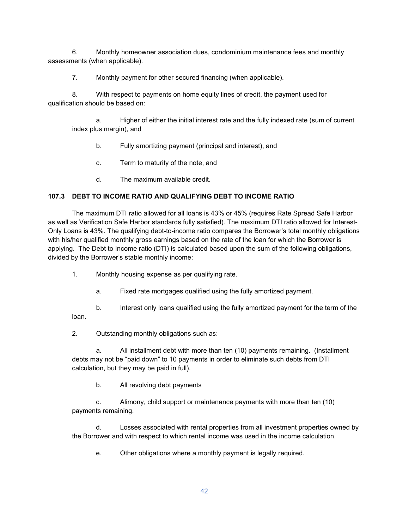6. Monthly homeowner association dues, condominium maintenance fees and monthly assessments (when applicable).

7. Monthly payment for other secured financing (when applicable).

8. With respect to payments on home equity lines of credit, the payment used for qualification should be based on:

a. Higher of either the initial interest rate and the fully indexed rate (sum of current index plus margin), and

- b. Fully amortizing payment (principal and interest), and
- c. Term to maturity of the note, and
- d. The maximum available credit.

## **107.3 DEBT TO INCOME RATIO AND QUALIFYING DEBT TO INCOME RATIO**

The maximum DTI ratio allowed for all loans is 43% or 45% (requires Rate Spread Safe Harbor as well as Verification Safe Harbor standards fully satisfied). The maximum DTI ratio allowed for Interest-Only Loans is 43%. The qualifying debt-to-income ratio compares the Borrower's total monthly obligations with his/her qualified monthly gross earnings based on the rate of the loan for which the Borrower is applying. The Debt to Income ratio (DTI) is calculated based upon the sum of the following obligations, divided by the Borrower's stable monthly income:

- 1. Monthly housing expense as per qualifying rate.
	- a. Fixed rate mortgages qualified using the fully amortized payment.

b. Interest only loans qualified using the fully amortized payment for the term of the loan.

2. Outstanding monthly obligations such as:

a. All installment debt with more than ten (10) payments remaining. (Installment debts may not be "paid down" to 10 payments in order to eliminate such debts from DTI calculation, but they may be paid in full).

b. All revolving debt payments

c. Alimony, child support or maintenance payments with more than ten (10) payments remaining.

d. Losses associated with rental properties from all investment properties owned by the Borrower and with respect to which rental income was used in the income calculation.

e. Other obligations where a monthly payment is legally required.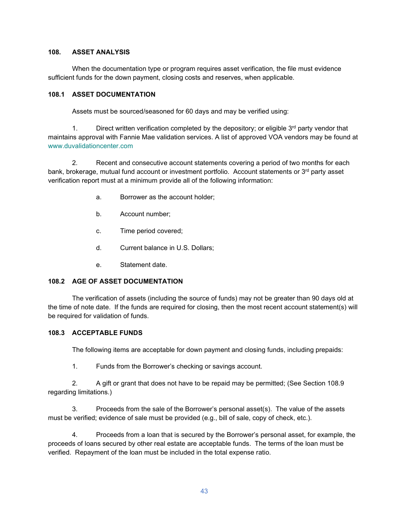#### **108. ASSET ANALYSIS**

When the documentation type or program requires asset verification, the file must evidence sufficient funds for the down payment, closing costs and reserves, when applicable.

### **108.1 ASSET DOCUMENTATION**

Assets must be sourced/seasoned for 60 days and may be verified using:

1. Direct written verification completed by the depository; or eligible  $3<sup>rd</sup>$  party vendor that maintains approval with Fannie Mae validation services. A list of approved VOA vendors may be found at [www.duvalidationcenter.com](http://www.duvalidationcenter.com/)

2. Recent and consecutive account statements covering a period of two months for each bank, brokerage, mutual fund account or investment portfolio. Account statements or 3<sup>rd</sup> party asset verification report must at a minimum provide all of the following information:

- a. Borrower as the account holder;
- b. Account number;
- c. Time period covered;
- d. Current balance in U.S. Dollars;
- e. Statement date.

### **108.2 AGE OF ASSET DOCUMENTATION**

The verification of assets (including the source of funds) may not be greater than 90 days old at the time of note date. If the funds are required for closing, then the most recent account statement(s) will be required for validation of funds.

### **108.3 ACCEPTABLE FUNDS**

The following items are acceptable for down payment and closing funds, including prepaids:

1. Funds from the Borrower's checking or savings account.

2. A gift or grant that does not have to be repaid may be permitted; (See Section 108.9 regarding limitations.)

3. Proceeds from the sale of the Borrower's personal asset(s). The value of the assets must be verified; evidence of sale must be provided (e.g., bill of sale, copy of check, etc.).

4. Proceeds from a loan that is secured by the Borrower's personal asset, for example, the proceeds of loans secured by other real estate are acceptable funds. The terms of the loan must be verified. Repayment of the loan must be included in the total expense ratio.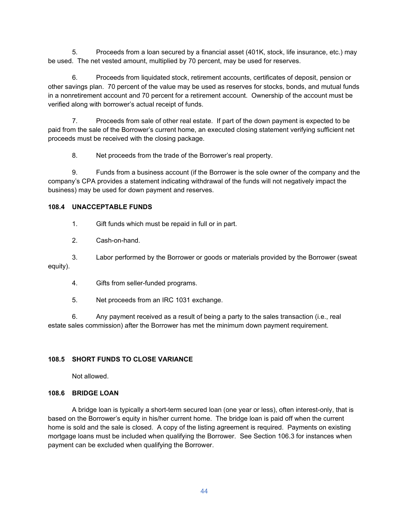5. Proceeds from a loan secured by a financial asset (401K, stock, life insurance, etc.) may be used. The net vested amount, multiplied by 70 percent, may be used for reserves.

6. Proceeds from liquidated stock, retirement accounts, certificates of deposit, pension or other savings plan. 70 percent of the value may be used as reserves for stocks, bonds, and mutual funds in a nonretirement account and 70 percent for a retirement account. Ownership of the account must be verified along with borrower's actual receipt of funds.

7. Proceeds from sale of other real estate. If part of the down payment is expected to be paid from the sale of the Borrower's current home, an executed closing statement verifying sufficient net proceeds must be received with the closing package.

8. Net proceeds from the trade of the Borrower's real property.

9. Funds from a business account (if the Borrower is the sole owner of the company and the company's CPA provides a statement indicating withdrawal of the funds will not negatively impact the business) may be used for down payment and reserves.

### **108.4 UNACCEPTABLE FUNDS**

1. Gift funds which must be repaid in full or in part.

2. Cash-on-hand.

3. Labor performed by the Borrower or goods or materials provided by the Borrower (sweat equity).

4. Gifts from seller-funded programs.

5. Net proceeds from an IRC 1031 exchange.

6. Any payment received as a result of being a party to the sales transaction (i.e., real estate sales commission) after the Borrower has met the minimum down payment requirement.

### **108.5 SHORT FUNDS TO CLOSE VARIANCE**

Not allowed.

### **108.6 BRIDGE LOAN**

A bridge loan is typically a short-term secured loan (one year or less), often interest-only, that is based on the Borrower's equity in his/her current home. The bridge loan is paid off when the current home is sold and the sale is closed. A copy of the listing agreement is required. Payments on existing mortgage loans must be included when qualifying the Borrower. See Section 106.3 for instances when payment can be excluded when qualifying the Borrower.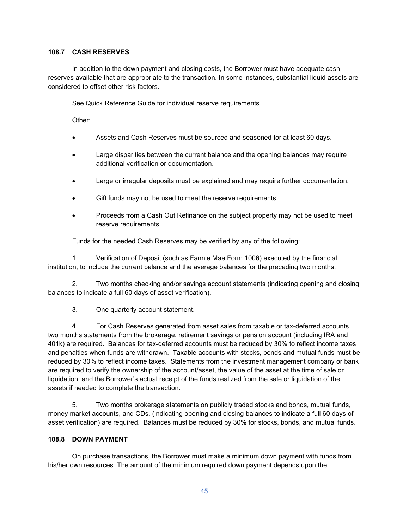### **108.7 CASH RESERVES**

In addition to the down payment and closing costs, the Borrower must have adequate cash reserves available that are appropriate to the transaction. In some instances, substantial liquid assets are considered to offset other risk factors.

See Quick Reference Guide for individual reserve requirements.

Other:

- Assets and Cash Reserves must be sourced and seasoned for at least 60 days.
- Large disparities between the current balance and the opening balances may require additional verification or documentation.
- Large or irregular deposits must be explained and may require further documentation.
- Gift funds may not be used to meet the reserve requirements.
- Proceeds from a Cash Out Refinance on the subject property may not be used to meet reserve requirements.

Funds for the needed Cash Reserves may be verified by any of the following:

1. Verification of Deposit (such as Fannie Mae Form 1006) executed by the financial institution, to include the current balance and the average balances for the preceding two months.

2. Two months checking and/or savings account statements (indicating opening and closing balances to indicate a full 60 days of asset verification).

3. One quarterly account statement.

4. For Cash Reserves generated from asset sales from taxable or tax-deferred accounts, two months statements from the brokerage, retirement savings or pension account (including IRA and 401k) are required. Balances for tax-deferred accounts must be reduced by 30% to reflect income taxes and penalties when funds are withdrawn. Taxable accounts with stocks, bonds and mutual funds must be reduced by 30% to reflect income taxes. Statements from the investment management company or bank are required to verify the ownership of the account/asset, the value of the asset at the time of sale or liquidation, and the Borrower's actual receipt of the funds realized from the sale or liquidation of the assets if needed to complete the transaction.

5. Two months brokerage statements on publicly traded stocks and bonds, mutual funds, money market accounts, and CDs, (indicating opening and closing balances to indicate a full 60 days of asset verification) are required. Balances must be reduced by 30% for stocks, bonds, and mutual funds.

#### **108.8 DOWN PAYMENT**

On purchase transactions, the Borrower must make a minimum down payment with funds from his/her own resources. The amount of the minimum required down payment depends upon the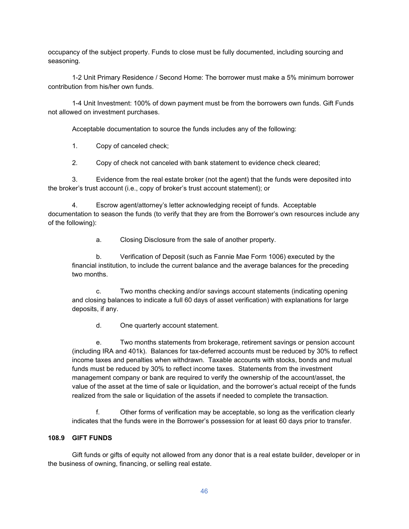occupancy of the subject property. Funds to close must be fully documented, including sourcing and seasoning.

1-2 Unit Primary Residence / Second Home: The borrower must make a 5% minimum borrower contribution from his/her own funds.

1-4 Unit Investment: 100% of down payment must be from the borrowers own funds. Gift Funds not allowed on investment purchases.

Acceptable documentation to source the funds includes any of the following:

1. Copy of canceled check;

2. Copy of check not canceled with bank statement to evidence check cleared;

3. Evidence from the real estate broker (not the agent) that the funds were deposited into the broker's trust account (i.e., copy of broker's trust account statement); or

4. Escrow agent/attorney's letter acknowledging receipt of funds. Acceptable documentation to season the funds (to verify that they are from the Borrower's own resources include any of the following):

a. Closing Disclosure from the sale of another property.

b. Verification of Deposit (such as Fannie Mae Form 1006) executed by the financial institution, to include the current balance and the average balances for the preceding two months.

c. Two months checking and/or savings account statements (indicating opening and closing balances to indicate a full 60 days of asset verification) with explanations for large deposits, if any.

d. One quarterly account statement.

e. Two months statements from brokerage, retirement savings or pension account (including IRA and 401k). Balances for tax-deferred accounts must be reduced by 30% to reflect income taxes and penalties when withdrawn. Taxable accounts with stocks, bonds and mutual funds must be reduced by 30% to reflect income taxes. Statements from the investment management company or bank are required to verify the ownership of the account/asset, the value of the asset at the time of sale or liquidation, and the borrower's actual receipt of the funds realized from the sale or liquidation of the assets if needed to complete the transaction.

f. Other forms of verification may be acceptable, so long as the verification clearly indicates that the funds were in the Borrower's possession for at least 60 days prior to transfer.

### **108.9 GIFT FUNDS**

Gift funds or gifts of equity not allowed from any donor that is a real estate builder, developer or in the business of owning, financing, or selling real estate.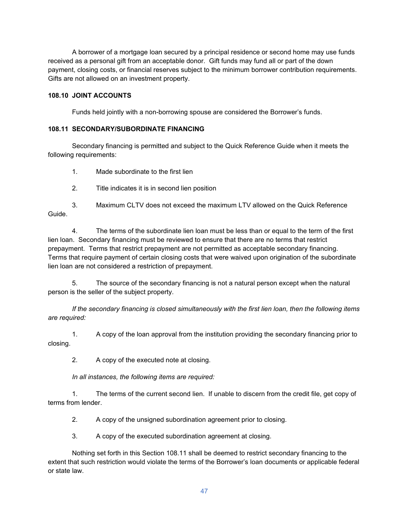A borrower of a mortgage loan secured by a principal residence or second home may use funds received as a personal gift from an acceptable donor. Gift funds may fund all or part of the down payment, closing costs, or financial reserves subject to the minimum borrower contribution requirements. Gifts are not allowed on an investment property.

### **108.10 JOINT ACCOUNTS**

Funds held jointly with a non-borrowing spouse are considered the Borrower's funds.

### **108.11 SECONDARY/SUBORDINATE FINANCING**

Secondary financing is permitted and subject to the Quick Reference Guide when it meets the following requirements:

1. Made subordinate to the first lien

2. Title indicates it is in second lien position

3. Maximum CLTV does not exceed the maximum LTV allowed on the Quick Reference Guide.

4. The terms of the subordinate lien loan must be less than or equal to the term of the first lien loan. Secondary financing must be reviewed to ensure that there are no terms that restrict prepayment. Terms that restrict prepayment are not permitted as acceptable secondary financing. Terms that require payment of certain closing costs that were waived upon origination of the subordinate lien loan are not considered a restriction of prepayment.

5. The source of the secondary financing is not a natural person except when the natural person is the seller of the subject property.

*If the secondary financing is closed simultaneously with the first lien loan, then the following items are required:*

1. A copy of the loan approval from the institution providing the secondary financing prior to closing.

2. A copy of the executed note at closing.

*In all instances, the following items are required:*

1. The terms of the current second lien. If unable to discern from the credit file, get copy of terms from lender.

2. A copy of the unsigned subordination agreement prior to closing.

3. A copy of the executed subordination agreement at closing.

Nothing set forth in this Section 108.11 shall be deemed to restrict secondary financing to the extent that such restriction would violate the terms of the Borrower's loan documents or applicable federal or state law.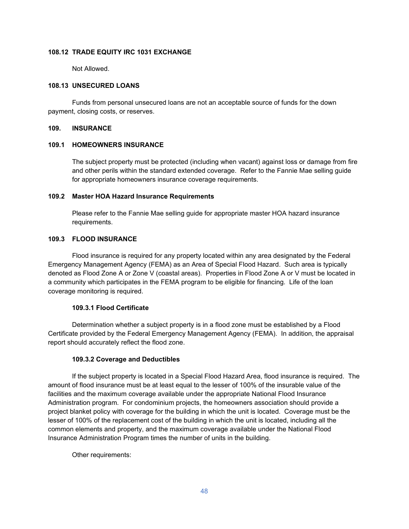### **108.12 TRADE EQUITY IRC 1031 EXCHANGE**

Not Allowed.

#### **108.13 UNSECURED LOANS**

Funds from personal unsecured loans are not an acceptable source of funds for the down payment, closing costs, or reserves.

#### **109. INSURANCE**

#### **109.1 HOMEOWNERS INSURANCE**

The subject property must be protected (including when vacant) against loss or damage from fire and other perils within the standard extended coverage. Refer to the Fannie Mae selling guide for appropriate homeowners insurance coverage requirements.

#### **109.2 Master HOA Hazard Insurance Requirements**

Please refer to the Fannie Mae selling guide for appropriate master HOA hazard insurance requirements.

#### **109.3 FLOOD INSURANCE**

Flood insurance is required for any property located within any area designated by the Federal Emergency Management Agency (FEMA) as an Area of Special Flood Hazard. Such area is typically denoted as Flood Zone A or Zone V (coastal areas). Properties in Flood Zone A or V must be located in a community which participates in the FEMA program to be eligible for financing. Life of the loan coverage monitoring is required.

#### **109.3.1 Flood Certificate**

Determination whether a subject property is in a flood zone must be established by a Flood Certificate provided by the Federal Emergency Management Agency (FEMA). In addition, the appraisal report should accurately reflect the flood zone.

#### **109.3.2 Coverage and Deductibles**

If the subject property is located in a Special Flood Hazard Area, flood insurance is required. The amount of flood insurance must be at least equal to the lesser of 100% of the insurable value of the facilities and the maximum coverage available under the appropriate National Flood Insurance Administration program. For condominium projects, the homeowners association should provide a project blanket policy with coverage for the building in which the unit is located. Coverage must be the lesser of 100% of the replacement cost of the building in which the unit is located, including all the common elements and property, and the maximum coverage available under the National Flood Insurance Administration Program times the number of units in the building.

Other requirements: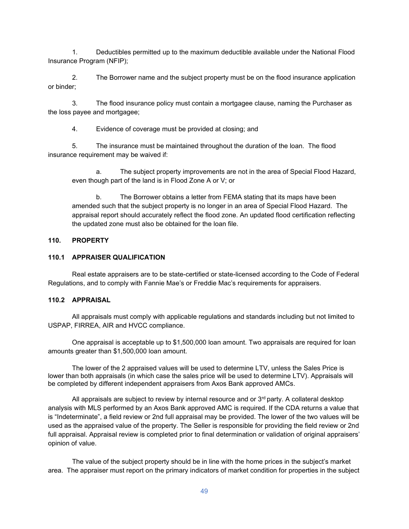1. Deductibles permitted up to the maximum deductible available under the National Flood Insurance Program (NFIP);

2. The Borrower name and the subject property must be on the flood insurance application or binder;

3. The flood insurance policy must contain a mortgagee clause, naming the Purchaser as the loss payee and mortgagee;

4. Evidence of coverage must be provided at closing; and

5. The insurance must be maintained throughout the duration of the loan. The flood insurance requirement may be waived if:

a. The subject property improvements are not in the area of Special Flood Hazard, even though part of the land is in Flood Zone A or V; or

b. The Borrower obtains a letter from FEMA stating that its maps have been amended such that the subject property is no longer in an area of Special Flood Hazard. The appraisal report should accurately reflect the flood zone. An updated flood certification reflecting the updated zone must also be obtained for the loan file.

### **110. PROPERTY**

### **110.1 APPRAISER QUALIFICATION**

Real estate appraisers are to be state-certified or state-licensed according to the Code of Federal Regulations, and to comply with Fannie Mae's or Freddie Mac's requirements for appraisers.

#### **110.2 APPRAISAL**

All appraisals must comply with applicable regulations and standards including but not limited to USPAP, FIRREA, AIR and HVCC compliance.

One appraisal is acceptable up to \$1,500,000 loan amount. Two appraisals are required for loan amounts greater than \$1,500,000 loan amount.

The lower of the 2 appraised values will be used to determine LTV, unless the Sales Price is lower than both appraisals (in which case the sales price will be used to determine LTV). Appraisals will be completed by different independent appraisers from Axos Bank approved AMCs.

All appraisals are subject to review by internal resource and or  $3<sup>rd</sup>$  party. A collateral desktop analysis with MLS performed by an Axos Bank approved AMC is required. If the CDA returns a value that is "Indeterminate", a field review or 2nd full appraisal may be provided. The lower of the two values will be used as the appraised value of the property. The Seller is responsible for providing the field review or 2nd full appraisal. Appraisal review is completed prior to final determination or validation of original appraisers' opinion of value.

The value of the subject property should be in line with the home prices in the subject's market area. The appraiser must report on the primary indicators of market condition for properties in the subject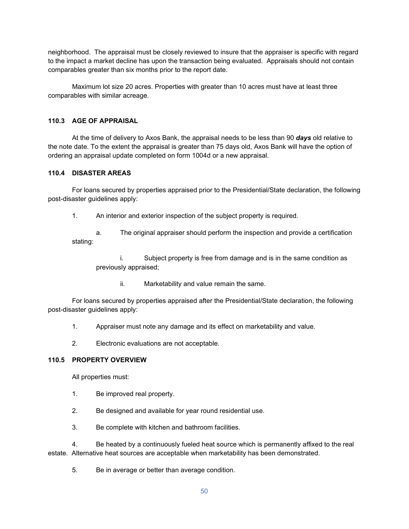neighborhood. The appraisal must be closely reviewed to insure that the appraiser is specific with regard to the impact a market decline has upon the transaction being evaluated. Appraisals should not contain comparables greater than six months prior to the report date.

Maximum lot size 20 acres. Properties with greater than 10 acres must have at least three comparables with similar acreage.

### **110.3 AGE OF APPRAISAL**

At the time of delivery to Axos Bank, the appraisal needs to be less than 90 *days* old relative to the note date. To the extent the appraisal is greater than 75 days old, Axos Bank will have the option of ordering an appraisal update completed on form 1004d or a new appraisal.

### **110.4 DISASTER AREAS**

For loans secured by properties appraised prior to the Presidential/State declaration, the following post-disaster guidelines apply:

1. An interior and exterior inspection of the subject property is required.

a. The original appraiser should perform the inspection and provide a certification stating:

i. Subject property is free from damage and is in the same condition as previously appraised;

ii. Marketability and value remain the same.

For loans secured by properties appraised after the Presidential/State declaration, the following post-disaster guidelines apply:

1. Appraiser must note any damage and its effect on marketability and value.

2. Electronic evaluations are not acceptable.

### **110.5 PROPERTY OVERVIEW**

All properties must:

- 1. Be improved real property.
- 2. Be designed and available for year round residential use.
- 3. Be complete with kitchen and bathroom facilities.

4. Be heated by a continuously fueled heat source which is permanently affixed to the real estate. Alternative heat sources are acceptable when marketability has been demonstrated.

5. Be in average or better than average condition.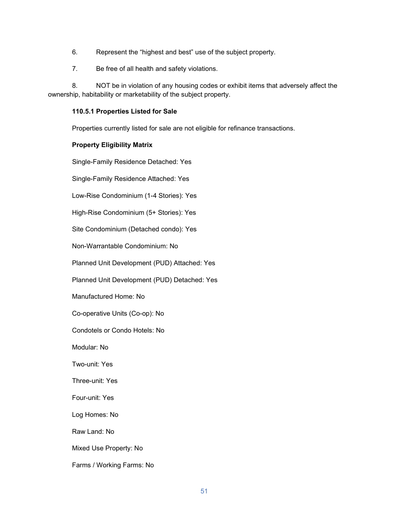- 6. Represent the "highest and best" use of the subject property.
- 7. Be free of all health and safety violations.

8. NOT be in violation of any housing codes or exhibit items that adversely affect the ownership, habitability or marketability of the subject property.

#### **110.5.1 Properties Listed for Sale**

Properties currently listed for sale are not eligible for refinance transactions.

#### **Property Eligibility Matrix**

Single-Family Residence Detached: Yes

Single-Family Residence Attached: Yes

Low-Rise Condominium (1-4 Stories): Yes

High-Rise Condominium (5+ Stories): Yes

Site Condominium (Detached condo): Yes

Non-Warrantable Condominium: No

Planned Unit Development (PUD) Attached: Yes

Planned Unit Development (PUD) Detached: Yes

Manufactured Home: No

Co-operative Units (Co-op): No

Condotels or Condo Hotels: No

Modular: No

Two-unit: Yes

Three-unit: Yes

Four-unit: Yes

Log Homes: No

Raw Land: No

Mixed Use Property: No

Farms / Working Farms: No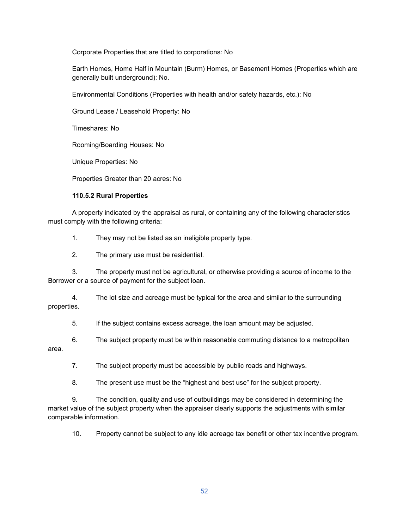Corporate Properties that are titled to corporations: No

Earth Homes, Home Half in Mountain (Burm) Homes, or Basement Homes (Properties which are generally built underground): No.

Environmental Conditions (Properties with health and/or safety hazards, etc.): No

Ground Lease / Leasehold Property: No

Timeshares: No

Rooming/Boarding Houses: No

Unique Properties: No

Properties Greater than 20 acres: No

### **110.5.2 Rural Properties**

A property indicated by the appraisal as rural, or containing any of the following characteristics must comply with the following criteria:

1. They may not be listed as an ineligible property type.

2. The primary use must be residential.

3. The property must not be agricultural, or otherwise providing a source of income to the Borrower or a source of payment for the subject loan.

4. The lot size and acreage must be typical for the area and similar to the surrounding properties.

5. If the subject contains excess acreage, the loan amount may be adjusted.

6. The subject property must be within reasonable commuting distance to a metropolitan area.

7. The subject property must be accessible by public roads and highways.

8. The present use must be the "highest and best use" for the subject property.

9. The condition, quality and use of outbuildings may be considered in determining the market value of the subject property when the appraiser clearly supports the adjustments with similar comparable information.

10. Property cannot be subject to any idle acreage tax benefit or other tax incentive program.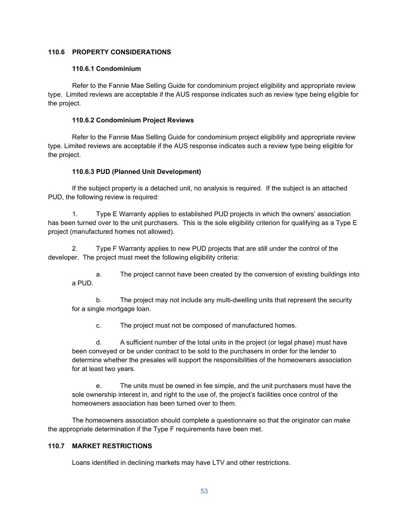### **110.6 PROPERTY CONSIDERATIONS**

#### **110.6.1 Condominium**

Refer to the Fannie Mae Selling Guide for condominium project eligibility and appropriate review type. Limited reviews are acceptable if the AUS response indicates such as review type being eligible for the project.

### **110.6.2 Condominium Project Reviews**

Refer to the Fannie Mae Selling Guide for condominium project eligibility and appropriate review type. Limited reviews are acceptable if the AUS response indicates such a review type being eligible for the project.

### **110.6.3 PUD (Planned Unit Development)**

If the subject property is a detached unit, no analysis is required. If the subject is an attached PUD, the following review is required:

1. Type E Warranty applies to established PUD projects in which the owners' association has been turned over to the unit purchasers. This is the sole eligibility criterion for qualifying as a Type E project (manufactured homes not allowed).

2. Type F Warranty applies to new PUD projects that are still under the control of the developer. The project must meet the following eligibility criteria:

a. The project cannot have been created by the conversion of existing buildings into a PUD.

b. The project may not include any multi-dwelling units that represent the security for a single mortgage loan.

c. The project must not be composed of manufactured homes.

d. A sufficient number of the total units in the project (or legal phase) must have been conveyed or be under contract to be sold to the purchasers in order for the lender to determine whether the presales will support the responsibilities of the homeowners association for at least two years.

e. The units must be owned in fee simple, and the unit purchasers must have the sole ownership interest in, and right to the use of, the project's facilities once control of the homeowners association has been turned over to them.

The homeowners association should complete a questionnaire so that the originator can make the appropriate determination if the Type F requirements have been met.

#### **110.7 MARKET RESTRICTIONS**

Loans identified in declining markets may have LTV and other restrictions.